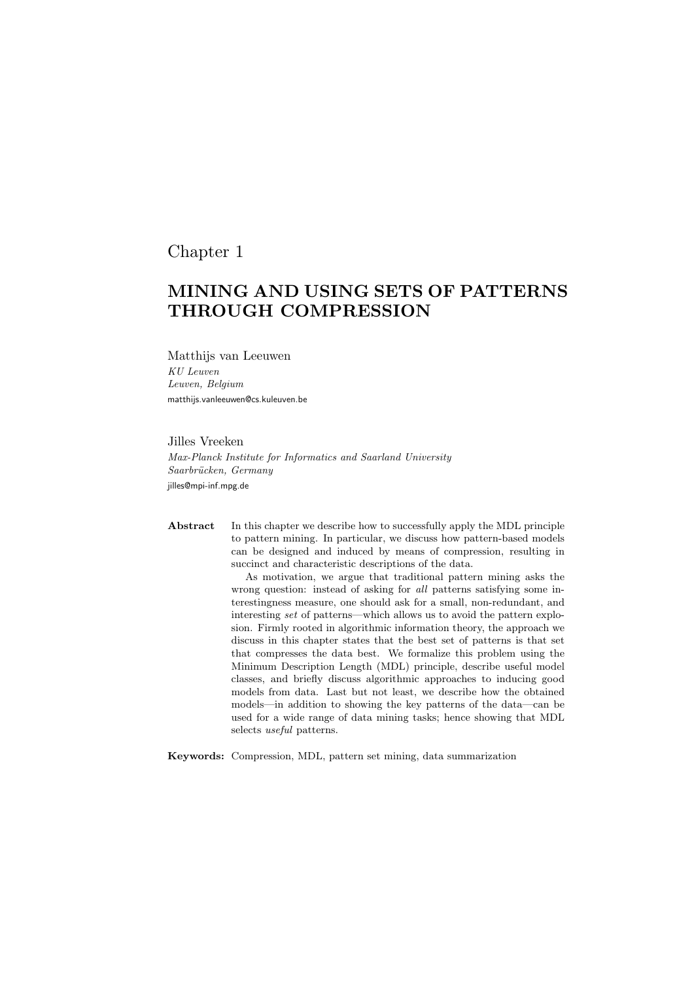# Chapter 1

# MINING AND USING SETS OF PATTERNS THROUGH COMPRESSION

Matthijs van Leeuwen KU Leuven Leuven, Belgium matthijs.vanleeuwen@cs.kuleuven.be

Jilles Vreeken Max-Planck Institute for Informatics and Saarland University Saarbrücken, Germany jilles@mpi-inf.mpg.de

Abstract In this chapter we describe how to successfully apply the MDL principle to pattern mining. In particular, we discuss how pattern-based models can be designed and induced by means of compression, resulting in succinct and characteristic descriptions of the data.

> As motivation, we argue that traditional pattern mining asks the wrong question: instead of asking for all patterns satisfying some interestingness measure, one should ask for a small, non-redundant, and interesting set of patterns—which allows us to avoid the pattern explosion. Firmly rooted in algorithmic information theory, the approach we discuss in this chapter states that the best set of patterns is that set that compresses the data best. We formalize this problem using the Minimum Description Length (MDL) principle, describe useful model classes, and briefly discuss algorithmic approaches to inducing good models from data. Last but not least, we describe how the obtained models—in addition to showing the key patterns of the data—can be used for a wide range of data mining tasks; hence showing that MDL selects useful patterns.

Keywords: Compression, MDL, pattern set mining, data summarization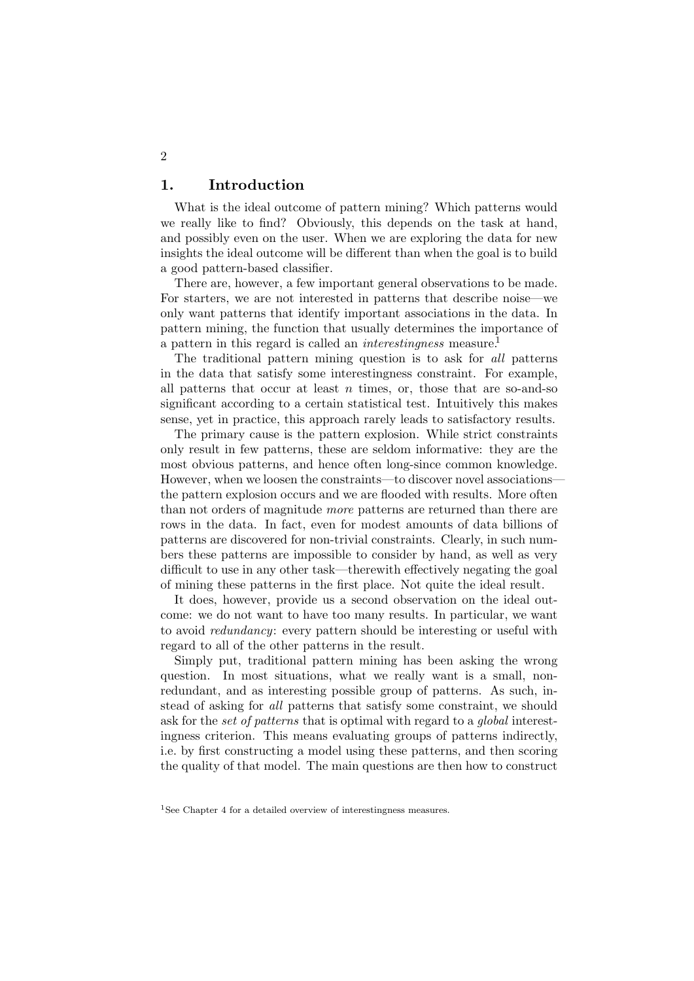## 1. Introduction

What is the ideal outcome of pattern mining? Which patterns would we really like to find? Obviously, this depends on the task at hand, and possibly even on the user. When we are exploring the data for new insights the ideal outcome will be different than when the goal is to build a good pattern-based classifier.

There are, however, a few important general observations to be made. For starters, we are not interested in patterns that describe noise—we only want patterns that identify important associations in the data. In pattern mining, the function that usually determines the importance of a pattern in this regard is called an *interestingness* measure.<sup>1</sup>

The traditional pattern mining question is to ask for all patterns in the data that satisfy some interestingness constraint. For example, all patterns that occur at least  $n$  times, or, those that are so-and-so significant according to a certain statistical test. Intuitively this makes sense, yet in practice, this approach rarely leads to satisfactory results.

The primary cause is the pattern explosion. While strict constraints only result in few patterns, these are seldom informative: they are the most obvious patterns, and hence often long-since common knowledge. However, when we loosen the constraints—to discover novel associations the pattern explosion occurs and we are flooded with results. More often than not orders of magnitude more patterns are returned than there are rows in the data. In fact, even for modest amounts of data billions of patterns are discovered for non-trivial constraints. Clearly, in such numbers these patterns are impossible to consider by hand, as well as very difficult to use in any other task—therewith effectively negating the goal of mining these patterns in the first place. Not quite the ideal result.

It does, however, provide us a second observation on the ideal outcome: we do not want to have too many results. In particular, we want to avoid redundancy: every pattern should be interesting or useful with regard to all of the other patterns in the result.

Simply put, traditional pattern mining has been asking the wrong question. In most situations, what we really want is a small, nonredundant, and as interesting possible group of patterns. As such, instead of asking for all patterns that satisfy some constraint, we should ask for the set of patterns that is optimal with regard to a global interestingness criterion. This means evaluating groups of patterns indirectly, i.e. by first constructing a model using these patterns, and then scoring the quality of that model. The main questions are then how to construct

<sup>1</sup>See Chapter 4 for a detailed overview of interestingness measures.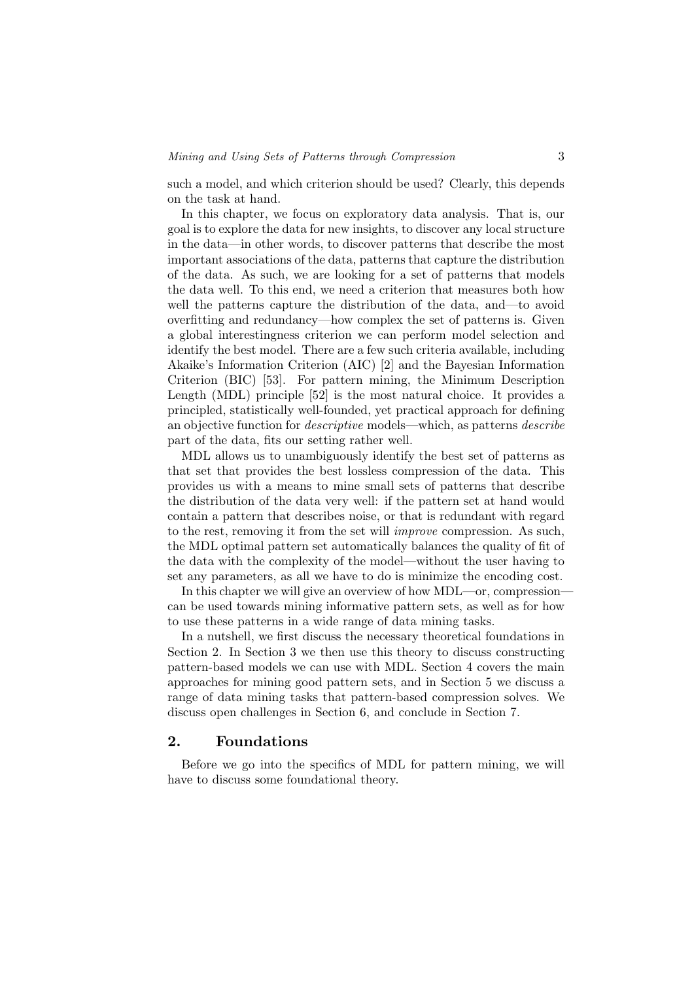such a model, and which criterion should be used? Clearly, this depends on the task at hand.

In this chapter, we focus on exploratory data analysis. That is, our goal is to explore the data for new insights, to discover any local structure in the data—in other words, to discover patterns that describe the most important associations of the data, patterns that capture the distribution of the data. As such, we are looking for a set of patterns that models the data well. To this end, we need a criterion that measures both how well the patterns capture the distribution of the data, and—to avoid overfitting and redundancy—how complex the set of patterns is. Given a global interestingness criterion we can perform model selection and identify the best model. There are a few such criteria available, including Akaike's Information Criterion (AIC) [2] and the Bayesian Information Criterion (BIC) [53]. For pattern mining, the Minimum Description Length (MDL) principle [52] is the most natural choice. It provides a principled, statistically well-founded, yet practical approach for defining an objective function for descriptive models—which, as patterns describe part of the data, fits our setting rather well.

MDL allows us to unambiguously identify the best set of patterns as that set that provides the best lossless compression of the data. This provides us with a means to mine small sets of patterns that describe the distribution of the data very well: if the pattern set at hand would contain a pattern that describes noise, or that is redundant with regard to the rest, removing it from the set will improve compression. As such, the MDL optimal pattern set automatically balances the quality of fit of the data with the complexity of the model—without the user having to set any parameters, as all we have to do is minimize the encoding cost.

In this chapter we will give an overview of how MDL—or, compression can be used towards mining informative pattern sets, as well as for how to use these patterns in a wide range of data mining tasks.

In a nutshell, we first discuss the necessary theoretical foundations in Section 2. In Section 3 we then use this theory to discuss constructing pattern-based models we can use with MDL. Section 4 covers the main approaches for mining good pattern sets, and in Section 5 we discuss a range of data mining tasks that pattern-based compression solves. We discuss open challenges in Section 6, and conclude in Section 7.

#### 2. Foundations

Before we go into the specifics of MDL for pattern mining, we will have to discuss some foundational theory.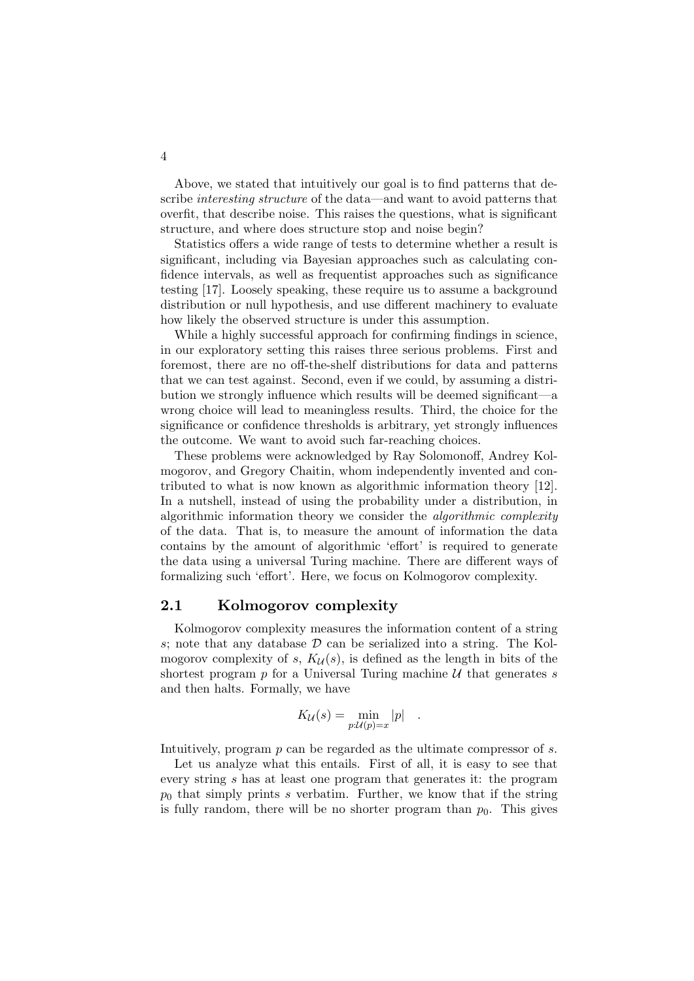Above, we stated that intuitively our goal is to find patterns that describe interesting structure of the data—and want to avoid patterns that overfit, that describe noise. This raises the questions, what is significant structure, and where does structure stop and noise begin?

Statistics offers a wide range of tests to determine whether a result is significant, including via Bayesian approaches such as calculating confidence intervals, as well as frequentist approaches such as significance testing [17]. Loosely speaking, these require us to assume a background distribution or null hypothesis, and use different machinery to evaluate how likely the observed structure is under this assumption.

While a highly successful approach for confirming findings in science, in our exploratory setting this raises three serious problems. First and foremost, there are no off-the-shelf distributions for data and patterns that we can test against. Second, even if we could, by assuming a distribution we strongly influence which results will be deemed significant—a wrong choice will lead to meaningless results. Third, the choice for the significance or confidence thresholds is arbitrary, yet strongly influences the outcome. We want to avoid such far-reaching choices.

These problems were acknowledged by Ray Solomonoff, Andrey Kolmogorov, and Gregory Chaitin, whom independently invented and contributed to what is now known as algorithmic information theory [12]. In a nutshell, instead of using the probability under a distribution, in algorithmic information theory we consider the algorithmic complexity of the data. That is, to measure the amount of information the data contains by the amount of algorithmic 'effort' is required to generate the data using a universal Turing machine. There are different ways of formalizing such 'effort'. Here, we focus on Kolmogorov complexity.

#### 2.1 Kolmogorov complexity

Kolmogorov complexity measures the information content of a string s; note that any database  $\mathcal D$  can be serialized into a string. The Kolmogorov complexity of s,  $K_{\mathcal{U}}(s)$ , is defined as the length in bits of the shortest program  $p$  for a Universal Turing machine  $U$  that generates s and then halts. Formally, we have

$$
K_{\mathcal{U}}(s) = \min_{p:\mathcal{U}(p)=x} |p| \quad .
$$

Intuitively, program  $p$  can be regarded as the ultimate compressor of  $s$ .

Let us analyze what this entails. First of all, it is easy to see that every string s has at least one program that generates it: the program  $p_0$  that simply prints s verbatim. Further, we know that if the string is fully random, there will be no shorter program than  $p_0$ . This gives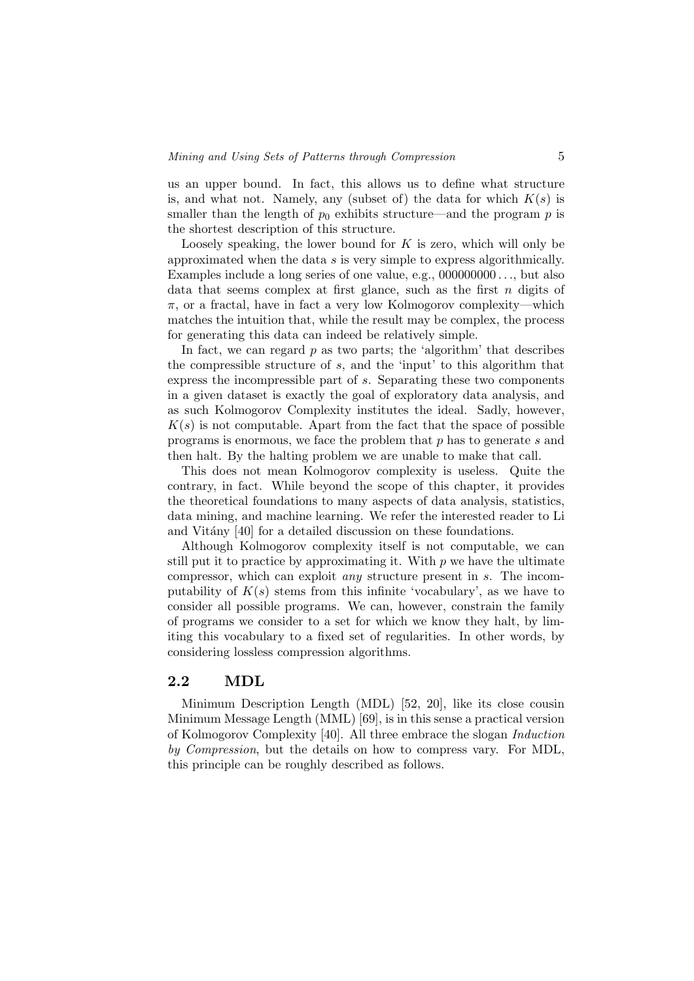us an upper bound. In fact, this allows us to define what structure is, and what not. Namely, any (subset of) the data for which  $K(s)$  is smaller than the length of  $p_0$  exhibits structure—and the program p is the shortest description of this structure.

Loosely speaking, the lower bound for  $K$  is zero, which will only be approximated when the data s is very simple to express algorithmically. Examples include a long series of one value, e.g.,  $000000000...$ , but also data that seems complex at first glance, such as the first  $n$  digits of  $\pi$ , or a fractal, have in fact a very low Kolmogorov complexity—which matches the intuition that, while the result may be complex, the process for generating this data can indeed be relatively simple.

In fact, we can regard  $p$  as two parts; the 'algorithm' that describes the compressible structure of s, and the 'input' to this algorithm that express the incompressible part of s. Separating these two components in a given dataset is exactly the goal of exploratory data analysis, and as such Kolmogorov Complexity institutes the ideal. Sadly, however,  $K(s)$  is not computable. Apart from the fact that the space of possible programs is enormous, we face the problem that p has to generate s and then halt. By the halting problem we are unable to make that call.

This does not mean Kolmogorov complexity is useless. Quite the contrary, in fact. While beyond the scope of this chapter, it provides the theoretical foundations to many aspects of data analysis, statistics, data mining, and machine learning. We refer the interested reader to Li and Vitány [40] for a detailed discussion on these foundations.

Although Kolmogorov complexity itself is not computable, we can still put it to practice by approximating it. With  $p$  we have the ultimate compressor, which can exploit any structure present in s. The incomputability of  $K(s)$  stems from this infinite 'vocabulary', as we have to consider all possible programs. We can, however, constrain the family of programs we consider to a set for which we know they halt, by limiting this vocabulary to a fixed set of regularities. In other words, by considering lossless compression algorithms.

#### 2.2 MDL

Minimum Description Length (MDL) [52, 20], like its close cousin Minimum Message Length (MML) [69], is in this sense a practical version of Kolmogorov Complexity [40]. All three embrace the slogan Induction by Compression, but the details on how to compress vary. For MDL, this principle can be roughly described as follows.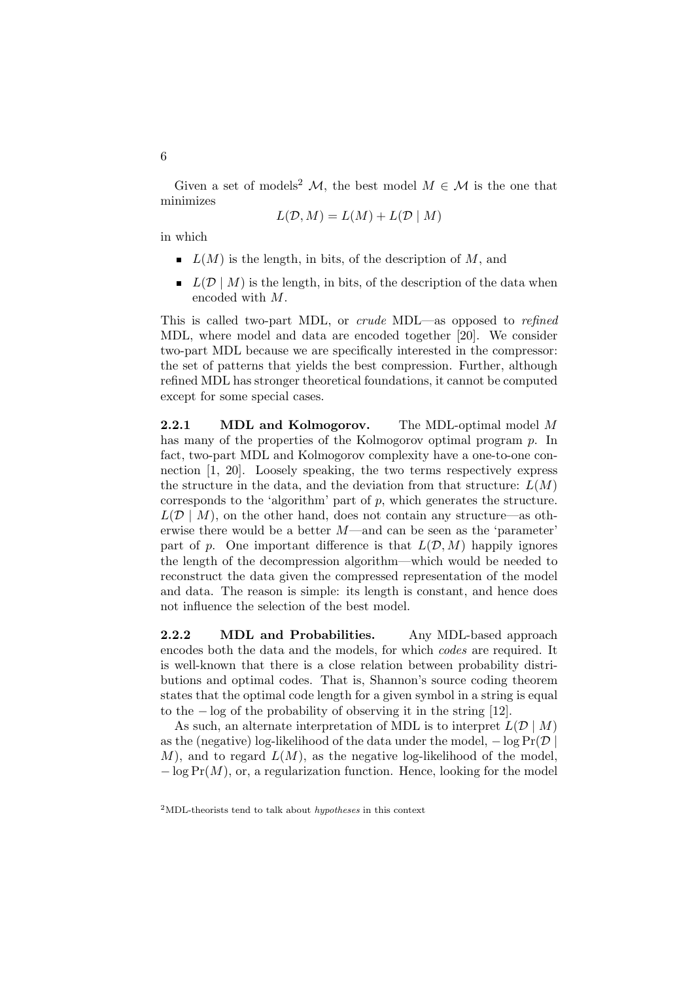Given a set of models<sup>2</sup> M, the best model  $M \in \mathcal{M}$  is the one that minimizes

$$
L(\mathcal{D}, M) = L(M) + L(\mathcal{D} \mid M)
$$

in which

- $L(M)$  is the length, in bits, of the description of M, and
- $\blacksquare$   $L(\mathcal{D} \mid M)$  is the length, in bits, of the description of the data when encoded with M.

This is called two-part MDL, or crude MDL—as opposed to refined MDL, where model and data are encoded together [20]. We consider two-part MDL because we are specifically interested in the compressor: the set of patterns that yields the best compression. Further, although refined MDL has stronger theoretical foundations, it cannot be computed except for some special cases.

**2.2.1** MDL and Kolmogorov. The MDL-optimal model  $M$ has many of the properties of the Kolmogorov optimal program p. In fact, two-part MDL and Kolmogorov complexity have a one-to-one connection [1, 20]. Loosely speaking, the two terms respectively express the structure in the data, and the deviation from that structure:  $L(M)$ corresponds to the 'algorithm' part of  $p$ , which generates the structure.  $L(\mathcal{D} \mid M)$ , on the other hand, does not contain any structure—as otherwise there would be a better  $M$ —and can be seen as the 'parameter' part of p. One important difference is that  $L(\mathcal{D}, M)$  happily ignores the length of the decompression algorithm—which would be needed to reconstruct the data given the compressed representation of the model and data. The reason is simple: its length is constant, and hence does not influence the selection of the best model.

2.2.2 MDL and Probabilities. Any MDL-based approach encodes both the data and the models, for which codes are required. It is well-known that there is a close relation between probability distributions and optimal codes. That is, Shannon's source coding theorem states that the optimal code length for a given symbol in a string is equal to the − log of the probability of observing it in the string [12].

As such, an alternate interpretation of MDL is to interpret  $L(\mathcal{D} | M)$ as the (negative) log-likelihood of the data under the model,  $-\log \Pr(D)$ M), and to regard  $L(M)$ , as the negative log-likelihood of the model,  $-\log \Pr(M)$ , or, a regularization function. Hence, looking for the model

 $2$ MDL-theorists tend to talk about *hypotheses* in this context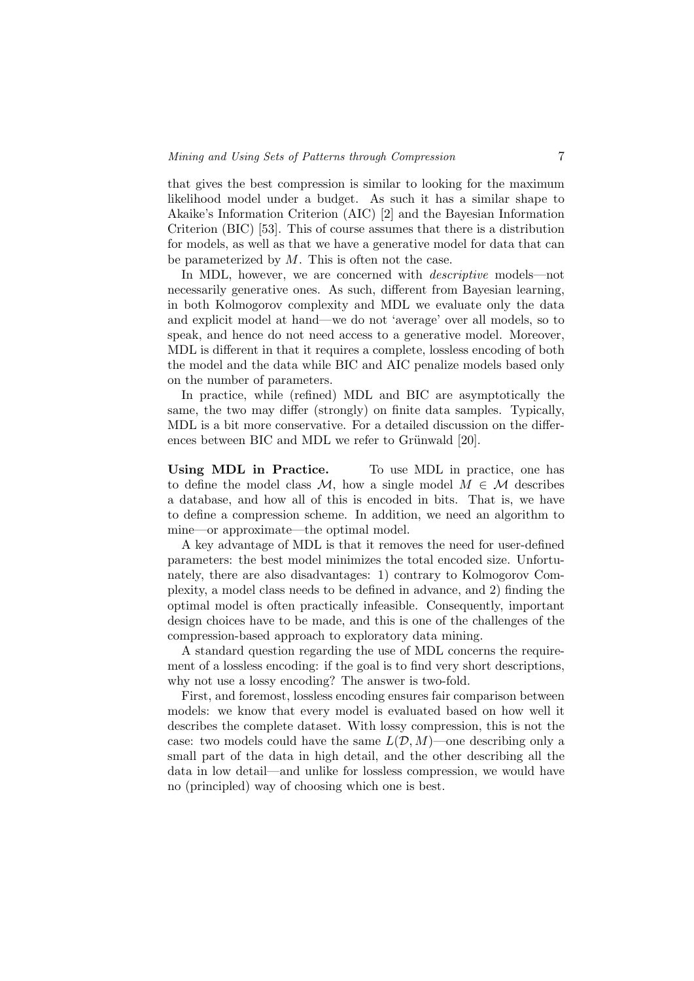that gives the best compression is similar to looking for the maximum likelihood model under a budget. As such it has a similar shape to Akaike's Information Criterion (AIC) [2] and the Bayesian Information Criterion (BIC) [53]. This of course assumes that there is a distribution for models, as well as that we have a generative model for data that can be parameterized by  $M$ . This is often not the case.

In MDL, however, we are concerned with descriptive models—not necessarily generative ones. As such, different from Bayesian learning, in both Kolmogorov complexity and MDL we evaluate only the data and explicit model at hand—we do not 'average' over all models, so to speak, and hence do not need access to a generative model. Moreover, MDL is different in that it requires a complete, lossless encoding of both the model and the data while BIC and AIC penalize models based only on the number of parameters.

In practice, while (refined) MDL and BIC are asymptotically the same, the two may differ (strongly) on finite data samples. Typically, MDL is a bit more conservative. For a detailed discussion on the differences between BIC and MDL we refer to Grünwald  $[20]$ .

Using MDL in Practice. To use MDL in practice, one has to define the model class M, how a single model  $M \in \mathcal{M}$  describes a database, and how all of this is encoded in bits. That is, we have to define a compression scheme. In addition, we need an algorithm to mine—or approximate—the optimal model.

A key advantage of MDL is that it removes the need for user-defined parameters: the best model minimizes the total encoded size. Unfortunately, there are also disadvantages: 1) contrary to Kolmogorov Complexity, a model class needs to be defined in advance, and 2) finding the optimal model is often practically infeasible. Consequently, important design choices have to be made, and this is one of the challenges of the compression-based approach to exploratory data mining.

A standard question regarding the use of MDL concerns the requirement of a lossless encoding: if the goal is to find very short descriptions, why not use a lossy encoding? The answer is two-fold.

First, and foremost, lossless encoding ensures fair comparison between models: we know that every model is evaluated based on how well it describes the complete dataset. With lossy compression, this is not the case: two models could have the same  $L(D, M)$ —one describing only a small part of the data in high detail, and the other describing all the data in low detail—and unlike for lossless compression, we would have no (principled) way of choosing which one is best.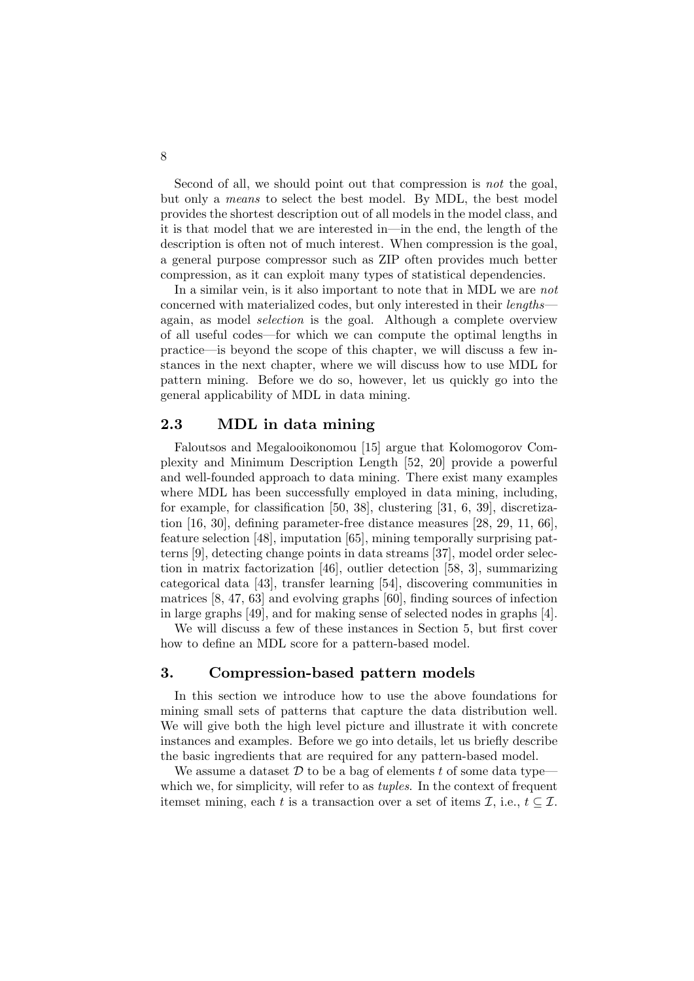Second of all, we should point out that compression is *not* the goal, but only a means to select the best model. By MDL, the best model provides the shortest description out of all models in the model class, and it is that model that we are interested in—in the end, the length of the description is often not of much interest. When compression is the goal, a general purpose compressor such as ZIP often provides much better compression, as it can exploit many types of statistical dependencies.

In a similar vein, is it also important to note that in MDL we are *not* concerned with materialized codes, but only interested in their lengths again, as model selection is the goal. Although a complete overview of all useful codes—for which we can compute the optimal lengths in practice—is beyond the scope of this chapter, we will discuss a few instances in the next chapter, where we will discuss how to use MDL for pattern mining. Before we do so, however, let us quickly go into the general applicability of MDL in data mining.

#### 2.3 MDL in data mining

Faloutsos and Megalooikonomou [15] argue that Kolomogorov Complexity and Minimum Description Length [52, 20] provide a powerful and well-founded approach to data mining. There exist many examples where MDL has been successfully employed in data mining, including, for example, for classification [50, 38], clustering [31, 6, 39], discretization [16, 30], defining parameter-free distance measures [28, 29, 11, 66], feature selection [48], imputation [65], mining temporally surprising patterns [9], detecting change points in data streams [37], model order selection in matrix factorization [46], outlier detection [58, 3], summarizing categorical data [43], transfer learning [54], discovering communities in matrices [8, 47, 63] and evolving graphs [60], finding sources of infection in large graphs [49], and for making sense of selected nodes in graphs [4].

We will discuss a few of these instances in Section 5, but first cover how to define an MDL score for a pattern-based model.

## 3. Compression-based pattern models

In this section we introduce how to use the above foundations for mining small sets of patterns that capture the data distribution well. We will give both the high level picture and illustrate it with concrete instances and examples. Before we go into details, let us briefly describe the basic ingredients that are required for any pattern-based model.

We assume a dataset  $\mathcal D$  to be a bag of elements t of some data typewhich we, for simplicity, will refer to as *tuples*. In the context of frequent itemset mining, each t is a transaction over a set of items  $\mathcal{I}$ , i.e.,  $t \subset \mathcal{I}$ .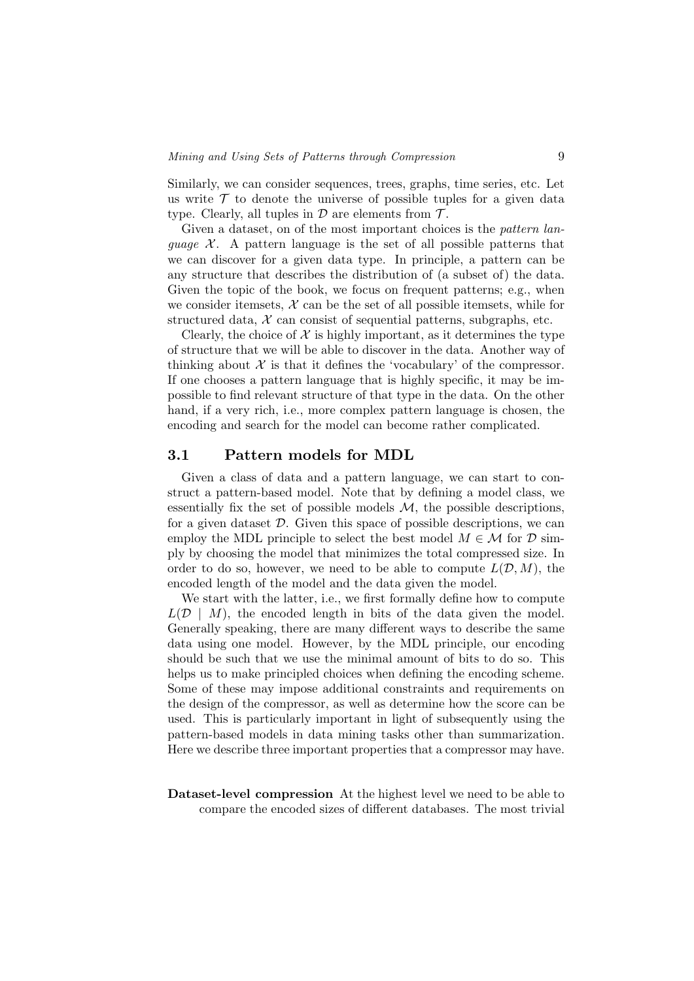Similarly, we can consider sequences, trees, graphs, time series, etc. Let us write  $\mathcal T$  to denote the universe of possible tuples for a given data type. Clearly, all tuples in  $\mathcal D$  are elements from  $\mathcal T$ .

Given a dataset, on of the most important choices is the pattern lanquage  $\mathcal{X}$ . A pattern language is the set of all possible patterns that we can discover for a given data type. In principle, a pattern can be any structure that describes the distribution of (a subset of) the data. Given the topic of the book, we focus on frequent patterns; e.g., when we consider itemsets,  $\mathcal X$  can be the set of all possible itemsets, while for structured data,  $\mathcal X$  can consist of sequential patterns, subgraphs, etc.

Clearly, the choice of  $\mathcal X$  is highly important, as it determines the type of structure that we will be able to discover in the data. Another way of thinking about  $\mathcal X$  is that it defines the 'vocabulary' of the compressor. If one chooses a pattern language that is highly specific, it may be impossible to find relevant structure of that type in the data. On the other hand, if a very rich, i.e., more complex pattern language is chosen, the encoding and search for the model can become rather complicated.

#### 3.1 Pattern models for MDL

Given a class of data and a pattern language, we can start to construct a pattern-based model. Note that by defining a model class, we essentially fix the set of possible models  $M$ , the possible descriptions, for a given dataset  $\mathcal{D}$ . Given this space of possible descriptions, we can employ the MDL principle to select the best model  $M \in \mathcal{M}$  for  $\mathcal{D}$  simply by choosing the model that minimizes the total compressed size. In order to do so, however, we need to be able to compute  $L(\mathcal{D}, M)$ , the encoded length of the model and the data given the model.

We start with the latter, i.e., we first formally define how to compute  $L(\mathcal{D} \mid M)$ , the encoded length in bits of the data given the model. Generally speaking, there are many different ways to describe the same data using one model. However, by the MDL principle, our encoding should be such that we use the minimal amount of bits to do so. This helps us to make principled choices when defining the encoding scheme. Some of these may impose additional constraints and requirements on the design of the compressor, as well as determine how the score can be used. This is particularly important in light of subsequently using the pattern-based models in data mining tasks other than summarization. Here we describe three important properties that a compressor may have.

Dataset-level compression At the highest level we need to be able to compare the encoded sizes of different databases. The most trivial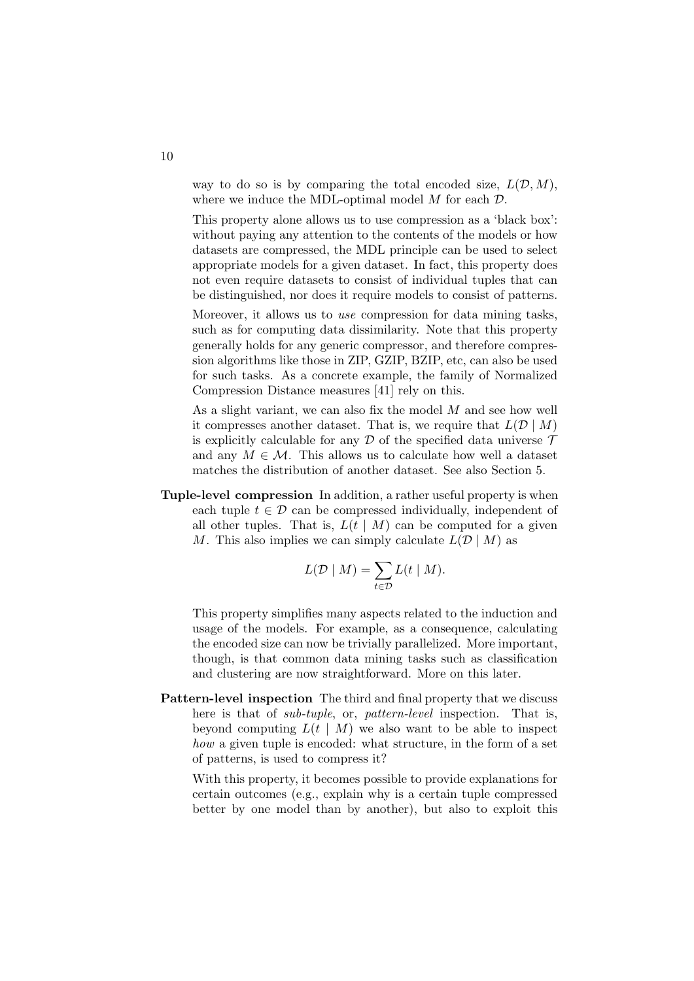way to do so is by comparing the total encoded size,  $L(\mathcal{D}, M)$ , where we induce the MDL-optimal model  $M$  for each  $\mathcal{D}$ .

This property alone allows us to use compression as a 'black box': without paying any attention to the contents of the models or how datasets are compressed, the MDL principle can be used to select appropriate models for a given dataset. In fact, this property does not even require datasets to consist of individual tuples that can be distinguished, nor does it require models to consist of patterns.

Moreover, it allows us to use compression for data mining tasks, such as for computing data dissimilarity. Note that this property generally holds for any generic compressor, and therefore compression algorithms like those in ZIP, GZIP, BZIP, etc, can also be used for such tasks. As a concrete example, the family of Normalized Compression Distance measures [41] rely on this.

As a slight variant, we can also fix the model M and see how well it compresses another dataset. That is, we require that  $L(\mathcal{D} | M)$ is explicitly calculable for any  $\mathcal D$  of the specified data universe  $\mathcal T$ and any  $M \in \mathcal{M}$ . This allows us to calculate how well a dataset matches the distribution of another dataset. See also Section 5.

Tuple-level compression In addition, a rather useful property is when each tuple  $t \in \mathcal{D}$  can be compressed individually, independent of all other tuples. That is,  $L(t \mid M)$  can be computed for a given M. This also implies we can simply calculate  $L(\mathcal{D} \mid M)$  as

$$
L(\mathcal{D} \mid M) = \sum_{t \in \mathcal{D}} L(t \mid M).
$$

This property simplifies many aspects related to the induction and usage of the models. For example, as a consequence, calculating the encoded size can now be trivially parallelized. More important, though, is that common data mining tasks such as classification and clustering are now straightforward. More on this later.

Pattern-level inspection The third and final property that we discuss here is that of *sub-tuple*, or, *pattern-level* inspection. That is, beyond computing  $L(t | M)$  we also want to be able to inspect how a given tuple is encoded: what structure, in the form of a set of patterns, is used to compress it?

With this property, it becomes possible to provide explanations for certain outcomes (e.g., explain why is a certain tuple compressed better by one model than by another), but also to exploit this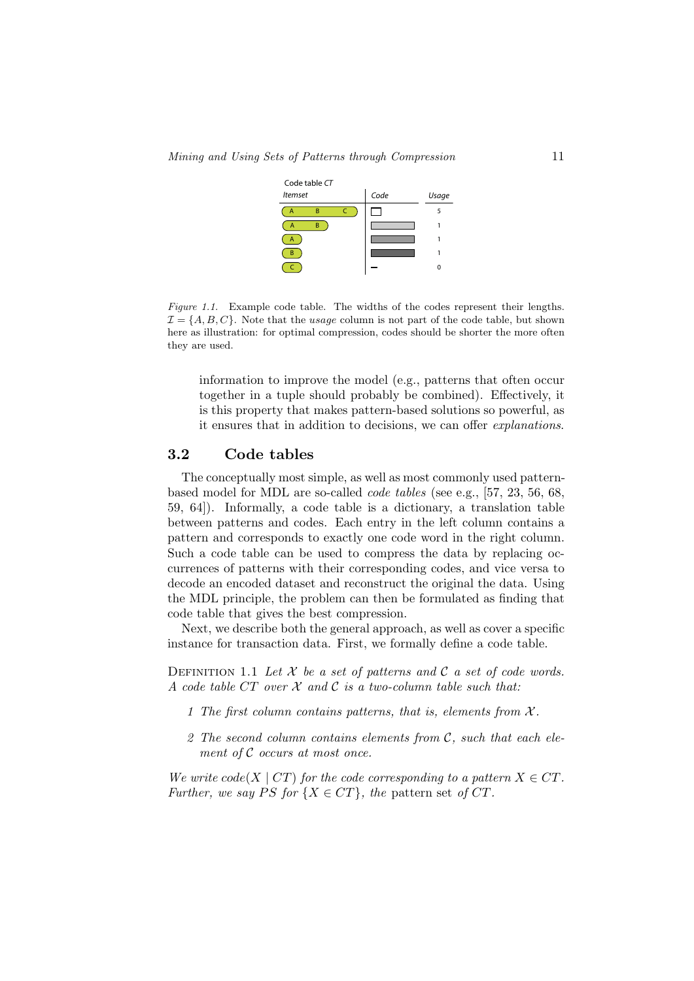

Figure 1.1. Example code table. The widths of the codes represent their lengths.  $\mathcal{I} = \{A, B, C\}$ . Note that the usage column is not part of the code table, but shown here as illustration: for optimal compression, codes should be shorter the more often they are used.

information to improve the model (e.g., patterns that often occur together in a tuple should probably be combined). Effectively, it is this property that makes pattern-based solutions so powerful, as it ensures that in addition to decisions, we can offer explanations.

## 3.2 Code tables

The conceptually most simple, as well as most commonly used patternbased model for MDL are so-called code tables (see e.g., [57, 23, 56, 68, 59, 64]). Informally, a code table is a dictionary, a translation table between patterns and codes. Each entry in the left column contains a pattern and corresponds to exactly one code word in the right column. Such a code table can be used to compress the data by replacing occurrences of patterns with their corresponding codes, and vice versa to decode an encoded dataset and reconstruct the original the data. Using the MDL principle, the problem can then be formulated as finding that code table that gives the best compression.

Next, we describe both the general approach, as well as cover a specific instance for transaction data. First, we formally define a code table.

DEFINITION 1.1 Let  $X$  be a set of patterns and  $C$  a set of code words. A code table  $CT$  over  $\mathcal X$  and  $\mathcal C$  is a two-column table such that:

- 1 The first column contains patterns, that is, elements from  $\mathcal{X}$ .
- 2 The second column contains elements from  $C$ , such that each element of  $C$  occurs at most once.

We write  $code(X \mid CT)$  for the code corresponding to a pattern  $X \in CT$ . Further, we say PS for  $\{X \in CT\}$ , the pattern set of CT.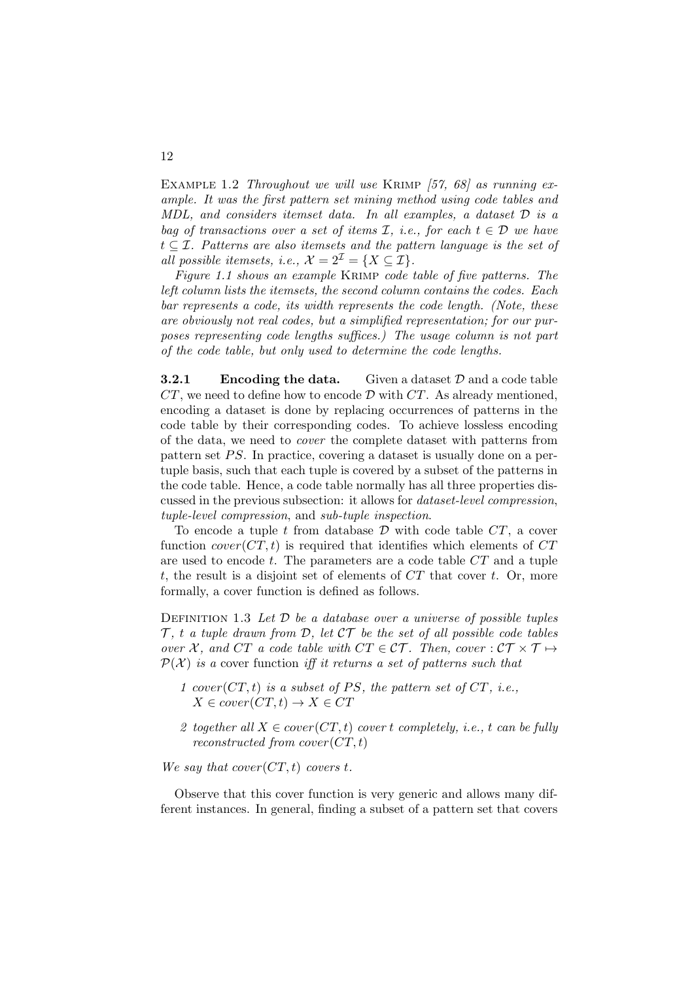EXAMPLE 1.2 Throughout we will use KRIMP  $[57, 68]$  as running example. It was the first pattern set mining method using code tables and MDL, and considers itemset data. In all examples, a dataset D is a bag of transactions over a set of items  $\mathcal{I}$ , i.e., for each  $t \in \mathcal{D}$  we have  $t \subseteq \mathcal{I}$ . Patterns are also itemsets and the pattern language is the set of all possible itemsets, i.e.,  $\mathcal{X} = 2^{\mathcal{I}} = \{X \subseteq \mathcal{I}\}.$ 

Figure 1.1 shows an example Krimp code table of five patterns. The left column lists the itemsets, the second column contains the codes. Each bar represents a code, its width represents the code length. (Note, these are obviously not real codes, but a simplified representation; for our purposes representing code lengths suffices.) The usage column is not part of the code table, but only used to determine the code lengths.

**3.2.1** Encoding the data. Given a dataset  $\mathcal{D}$  and a code table  $CT$ , we need to define how to encode  $\mathcal D$  with  $CT$ . As already mentioned, encoding a dataset is done by replacing occurrences of patterns in the code table by their corresponding codes. To achieve lossless encoding of the data, we need to cover the complete dataset with patterns from pattern set  $PS$ . In practice, covering a dataset is usually done on a pertuple basis, such that each tuple is covered by a subset of the patterns in the code table. Hence, a code table normally has all three properties discussed in the previous subsection: it allows for dataset-level compression, tuple-level compression, and sub-tuple inspection.

To encode a tuple t from database  $\mathcal D$  with code table  $CT$ , a cover function  $cover(CT, t)$  is required that identifies which elements of  $CT$ are used to encode  $t$ . The parameters are a code table  $CT$  and a tuple t, the result is a disjoint set of elements of  $CT$  that cover t. Or, more formally, a cover function is defined as follows.

DEFINITION 1.3 Let  $D$  be a database over a universe of possible tuples  $\mathcal{T}$ , t a tuple drawn from  $\mathcal{D}$ , let  $\mathcal{CT}$  be the set of all possible code tables over X, and CT a code table with  $CT \in \mathcal{CT}$ . Then, cover :  $\mathcal{CT} \times \mathcal{T} \mapsto$  $\mathcal{P}(\mathcal{X})$  is a cover function iff it returns a set of patterns such that

- 1 cover  $(CT, t)$  is a subset of PS, the pattern set of CT, i.e.,  $X \in cover(CT, t) \rightarrow X \in CT$
- 2 together all  $X \in cover(CT, t)$  cover t completely, i.e., t can be fully reconstructed from  $cover (CT, t)$

We say that  $cover (CT, t)$  covers t.

Observe that this cover function is very generic and allows many different instances. In general, finding a subset of a pattern set that covers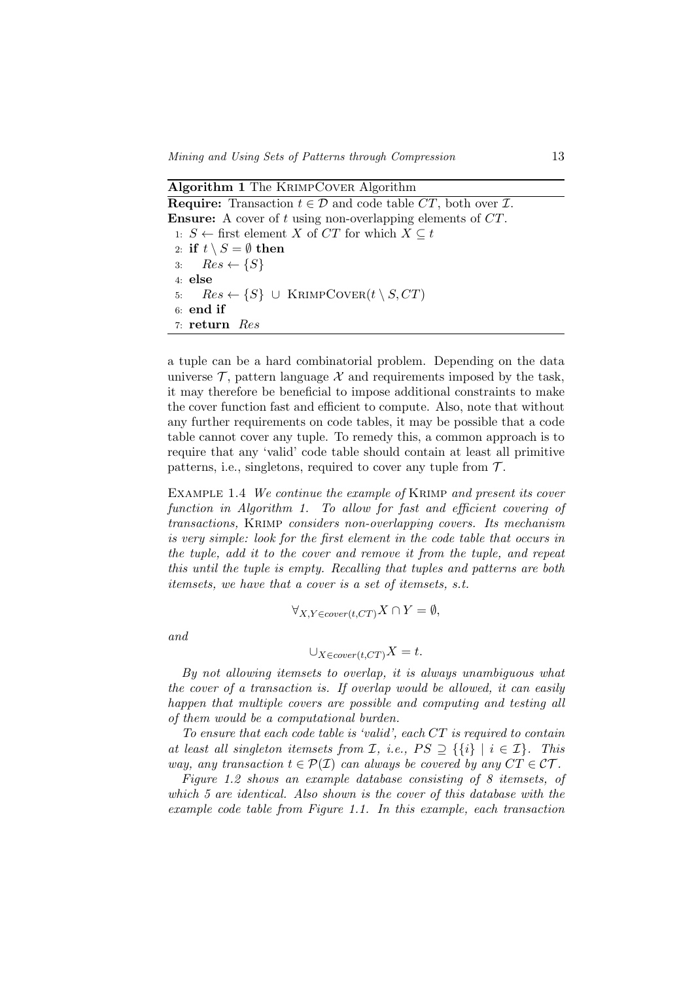a tuple can be a hard combinatorial problem. Depending on the data universe  $\mathcal T$ , pattern language  $\mathcal X$  and requirements imposed by the task, it may therefore be beneficial to impose additional constraints to make the cover function fast and efficient to compute. Also, note that without any further requirements on code tables, it may be possible that a code table cannot cover any tuple. To remedy this, a common approach is to require that any 'valid' code table should contain at least all primitive patterns, i.e., singletons, required to cover any tuple from  $\mathcal{T}$ .

EXAMPLE 1.4 We continue the example of KRIMP and present its cover function in Algorithm 1. To allow for fast and efficient covering of transactions, Krimp considers non-overlapping covers. Its mechanism is very simple: look for the first element in the code table that occurs in the tuple, add it to the cover and remove it from the tuple, and repeat this until the tuple is empty. Recalling that tuples and patterns are both itemsets, we have that a cover is a set of itemsets, s.t.

$$
\forall_{X,Y \in cover(t,CT)} X \cap Y = \emptyset,
$$

and

$$
\cup_{X \in cover(t, CT)} X = t.
$$

By not allowing itemsets to overlap, it is always unambiguous what the cover of a transaction is. If overlap would be allowed, it can easily happen that multiple covers are possible and computing and testing all of them would be a computational burden.

To ensure that each code table is 'valid', each CT is required to contain at least all singleton itemsets from  $\mathcal{I}$ , i.e.,  $PS \supseteq {\{i\} \mid i \in \mathcal{I}\}$ . This way, any transaction  $t \in \mathcal{P}(\mathcal{I})$  can always be covered by any  $CT \in \mathcal{CT}$ .

Figure 1.2 shows an example database consisting of 8 itemsets, of which 5 are identical. Also shown is the cover of this database with the example code table from Figure 1.1. In this example, each transaction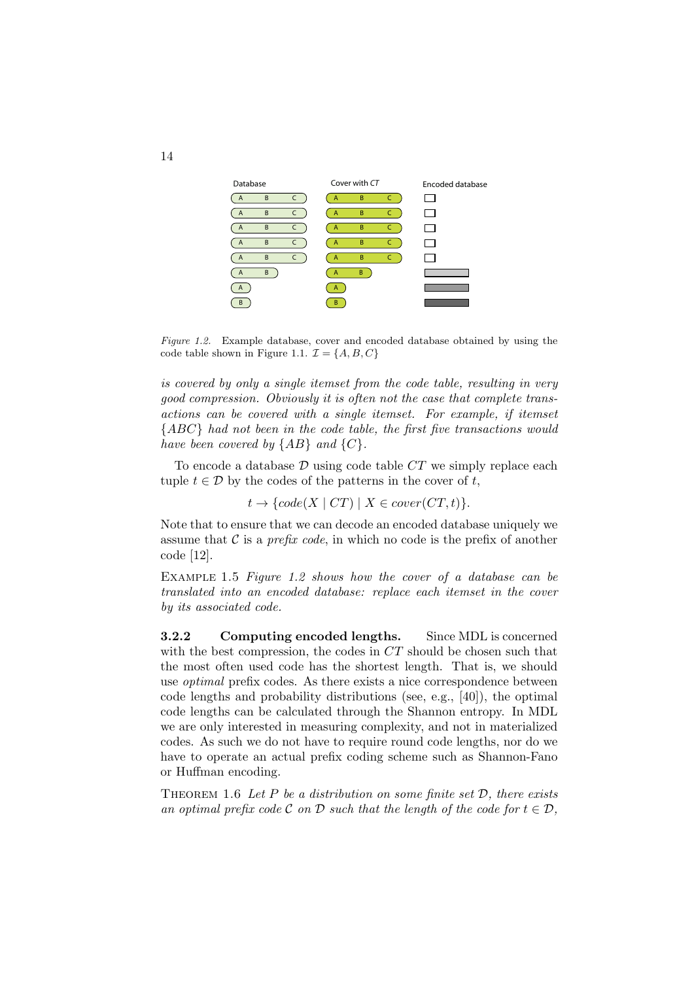

Figure 1.2. Example database, cover and encoded database obtained by using the code table shown in Figure 1.1.  $\mathcal{I} = \{A, B, C\}$ 

is covered by only a single itemset from the code table, resulting in very good compression. Obviously it is often not the case that complete transactions can be covered with a single itemset. For example, if itemset {ABC} had not been in the code table, the first five transactions would have been covered by  $\{AB\}$  and  $\{C\}$ .

To encode a database  $\mathcal D$  using code table  $CT$  we simply replace each tuple  $t \in \mathcal{D}$  by the codes of the patterns in the cover of t,

 $t \to \{code(X \mid CT) \mid X \in cover(CT, t)\}.$ 

Note that to ensure that we can decode an encoded database uniquely we assume that  $\mathcal C$  is a *prefix code*, in which no code is the prefix of another code [12].

EXAMPLE 1.5 Figure 1.2 shows how the cover of a database can be translated into an encoded database: replace each itemset in the cover by its associated code.

3.2.2 Computing encoded lengths. Since MDL is concerned with the best compression, the codes in  $CT$  should be chosen such that the most often used code has the shortest length. That is, we should use optimal prefix codes. As there exists a nice correspondence between code lengths and probability distributions (see, e.g., [40]), the optimal code lengths can be calculated through the Shannon entropy. In MDL we are only interested in measuring complexity, and not in materialized codes. As such we do not have to require round code lengths, nor do we have to operate an actual prefix coding scheme such as Shannon-Fano or Huffman encoding.

THEOREM 1.6 Let  $P$  be a distribution on some finite set  $D$ , there exists an optimal prefix code C on D such that the length of the code for  $t \in \mathcal{D}$ ,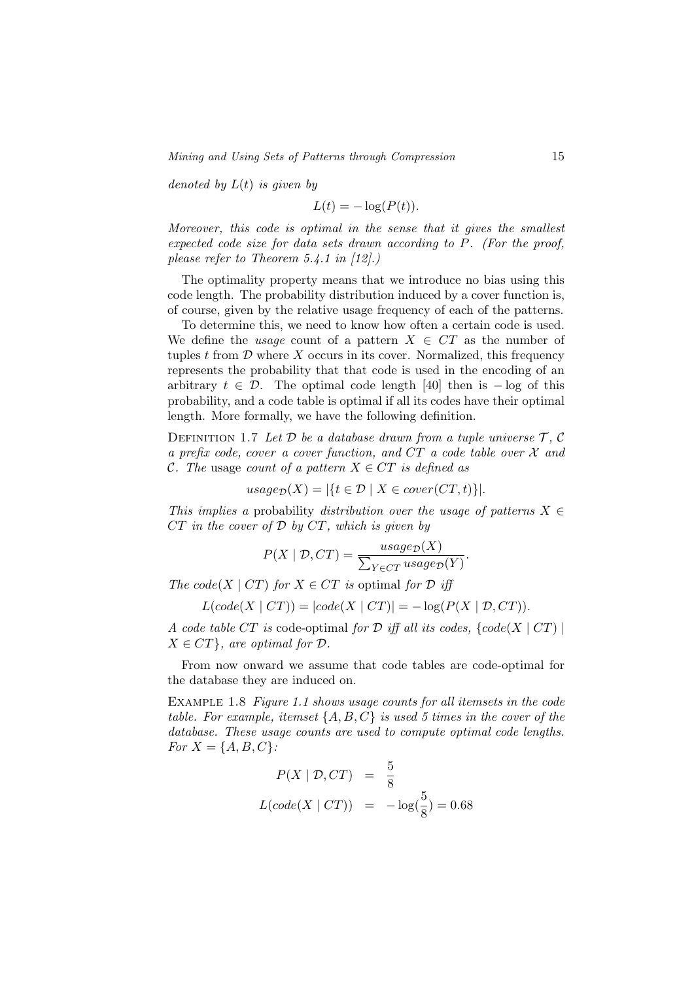denoted by  $L(t)$  is given by

$$
L(t) = -\log(P(t)).
$$

Moreover, this code is optimal in the sense that it gives the smallest expected code size for data sets drawn according to P. (For the proof, please refer to Theorem  $5.4.1$  in  $[12]$ .

The optimality property means that we introduce no bias using this code length. The probability distribution induced by a cover function is, of course, given by the relative usage frequency of each of the patterns.

To determine this, we need to know how often a certain code is used. We define the usage count of a pattern  $X \in \mathbb{C}T$  as the number of tuples t from  $D$  where  $X$  occurs in its cover. Normalized, this frequency represents the probability that that code is used in the encoding of an arbitrary  $t \in \mathcal{D}$ . The optimal code length [40] then is  $-\log$  of this probability, and a code table is optimal if all its codes have their optimal length. More formally, we have the following definition.

DEFINITION 1.7 Let  $\mathcal D$  be a database drawn from a tuple universe  $\mathcal T$ ,  $\mathcal C$ a prefix code, cover a cover function, and  $CT$  a code table over  $\mathcal X$  and C. The usage count of a pattern  $X \in \mathbb{C}T$  is defined as

$$
usage_{\mathcal{D}}(X) = |\{t \in \mathcal{D} \mid X \in cover(CT, t)\}|.
$$

This implies a probability distribution over the usage of patterns  $X \in$  $CT$  in the cover of  $D$  by  $CT$ , which is given by

$$
P(X \mid \mathcal{D}, CT) = \frac{usage_{\mathcal{D}}(X)}{\sum_{Y \in CT} usage_{\mathcal{D}}(Y)}.
$$

The code(X | CT) for  $X \in CT$  is optimal for  $D$  iff

$$
L(code(X \mid CT)) = |code(X \mid CT)| = -log(P(X \mid \mathcal{D}, CT)).
$$

A code table CT is code-optimal for  $\mathcal D$  iff all its codes, {code(X | CT) |  $X \in CT$ , are optimal for  $D$ .

From now onward we assume that code tables are code-optimal for the database they are induced on.

Example 1.8 Figure 1.1 shows usage counts for all itemsets in the code table. For example, itemset  $\{A, B, C\}$  is used 5 times in the cover of the database. These usage counts are used to compute optimal code lengths. For  $X = \{A, B, C\}$ :

$$
P(X | \mathcal{D}, CT) = \frac{5}{8}
$$
  

$$
L(code(X | CT)) = -log(\frac{5}{8}) = 0.68
$$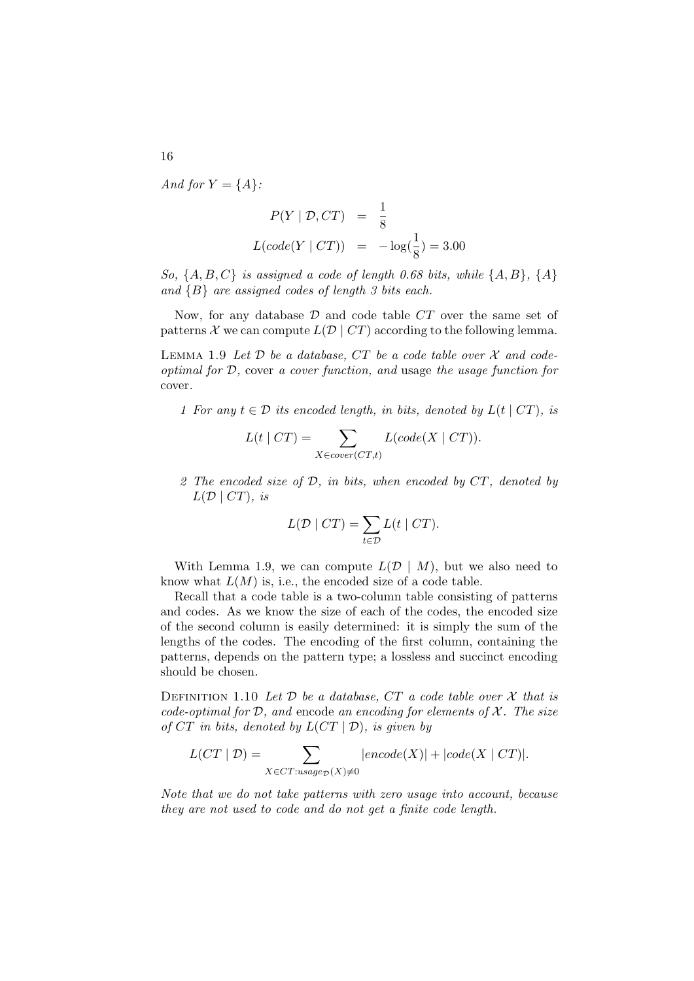And for  $Y = \{A\}$ :

$$
P(Y | \mathcal{D}, CT) = \frac{1}{8}
$$
  

$$
L(code(Y | CT)) = -log(\frac{1}{8}) = 3.00
$$

So,  $\{A, B, C\}$  is assigned a code of length 0.68 bits, while  $\{A, B\}$ ,  $\{A\}$ and  ${B}$  are assigned codes of length 3 bits each.

Now, for any database  $D$  and code table  $CT$  over the same set of patterns X we can compute  $L(\mathcal{D} | CT)$  according to the following lemma.

LEMMA 1.9 Let  $D$  be a database,  $CT$  be a code table over  $\mathcal X$  and codeoptimal for D, cover a cover function, and usage the usage function for cover.

1 For any  $t \in \mathcal{D}$  its encoded length, in bits, denoted by  $L(t \mid CT)$ , is

$$
L(t \mid CT) = \sum_{X \in cover(CT, t)} L(code(X \mid CT)).
$$

2 The encoded size of  $D$ , in bits, when encoded by  $CT$ , denoted by  $L(\mathcal{D} \mid CT)$ , is

$$
L(\mathcal{D} \mid CT) = \sum_{t \in \mathcal{D}} L(t \mid CT).
$$

With Lemma 1.9, we can compute  $L(\mathcal{D} \mid M)$ , but we also need to know what  $L(M)$  is, i.e., the encoded size of a code table.

Recall that a code table is a two-column table consisting of patterns and codes. As we know the size of each of the codes, the encoded size of the second column is easily determined: it is simply the sum of the lengths of the codes. The encoding of the first column, containing the patterns, depends on the pattern type; a lossless and succinct encoding should be chosen.

DEFINITION 1.10 Let  $\mathcal D$  be a database, CT a code table over  $\mathcal X$  that is code-optimal for  $D$ , and encode an encoding for elements of  $\mathcal{X}$ . The size of CT in bits, denoted by  $L(CT | D)$ , is given by

$$
L(CT | \mathcal{D}) = \sum_{X \in CT: usage_{\mathcal{D}}(X) \neq 0} |encode(X)| + |code(X | CT)|.
$$

Note that we do not take patterns with zero usage into account, because they are not used to code and do not get a finite code length.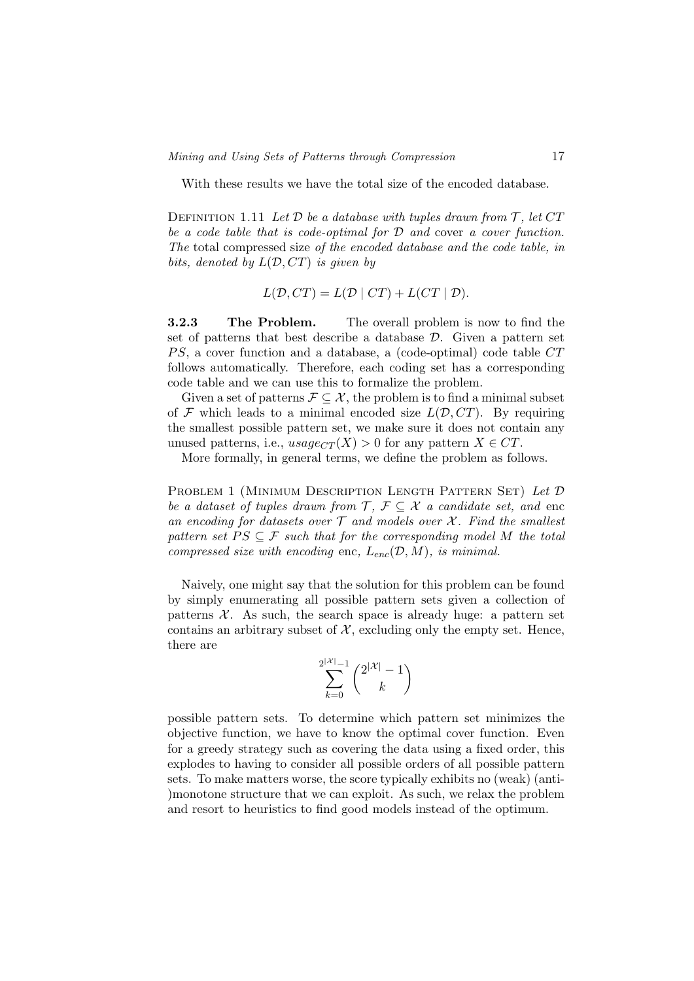Mining and Using Sets of Patterns through Compression 17

With these results we have the total size of the encoded database.

DEFINITION 1.11 Let  $\mathcal D$  be a database with tuples drawn from  $\mathcal T$ , let  $CT$ be a code table that is code-optimal for  $D$  and cover a cover function. The total compressed size of the encoded database and the code table, in bits, denoted by  $L(D,CT)$  is given by

$$
L(\mathcal{D}, CT) = L(\mathcal{D} \mid CT) + L(CT \mid \mathcal{D}).
$$

3.2.3 The Problem. The overall problem is now to find the set of patterns that best describe a database  $\mathcal{D}$ . Given a pattern set  $PS$ , a cover function and a database, a (code-optimal) code table  $CT$ follows automatically. Therefore, each coding set has a corresponding code table and we can use this to formalize the problem.

Given a set of patterns  $\mathcal{F} \subseteq \mathcal{X}$ , the problem is to find a minimal subset of  $\mathcal F$  which leads to a minimal encoded size  $L(\mathcal D,CT)$ . By requiring the smallest possible pattern set, we make sure it does not contain any unused patterns, i.e.,  $usage_{CT}(X) > 0$  for any pattern  $X \in CT$ .

More formally, in general terms, we define the problem as follows.

PROBLEM 1 (MINIMUM DESCRIPTION LENGTH PATTERN SET) Let D be a dataset of tuples drawn from  $\mathcal{T}, \mathcal{F} \subseteq \mathcal{X}$  a candidate set, and enc an encoding for datasets over  $\mathcal T$  and models over  $\mathcal X$ . Find the smallest pattern set  $PS \subseteq \mathcal{F}$  such that for the corresponding model M the total compressed size with encoding enc,  $L_{enc}(\mathcal{D}, M)$ , is minimal.

Naively, one might say that the solution for this problem can be found by simply enumerating all possible pattern sets given a collection of patterns  $\mathcal{X}$ . As such, the search space is already huge: a pattern set contains an arbitrary subset of  $X$ , excluding only the empty set. Hence, there are

$$
\sum_{k=0}^{2^{|\mathcal{X}|-1}} \binom{2^{|\mathcal{X}|-1}}{k}
$$

possible pattern sets. To determine which pattern set minimizes the objective function, we have to know the optimal cover function. Even for a greedy strategy such as covering the data using a fixed order, this explodes to having to consider all possible orders of all possible pattern sets. To make matters worse, the score typically exhibits no (weak) (anti- )monotone structure that we can exploit. As such, we relax the problem and resort to heuristics to find good models instead of the optimum.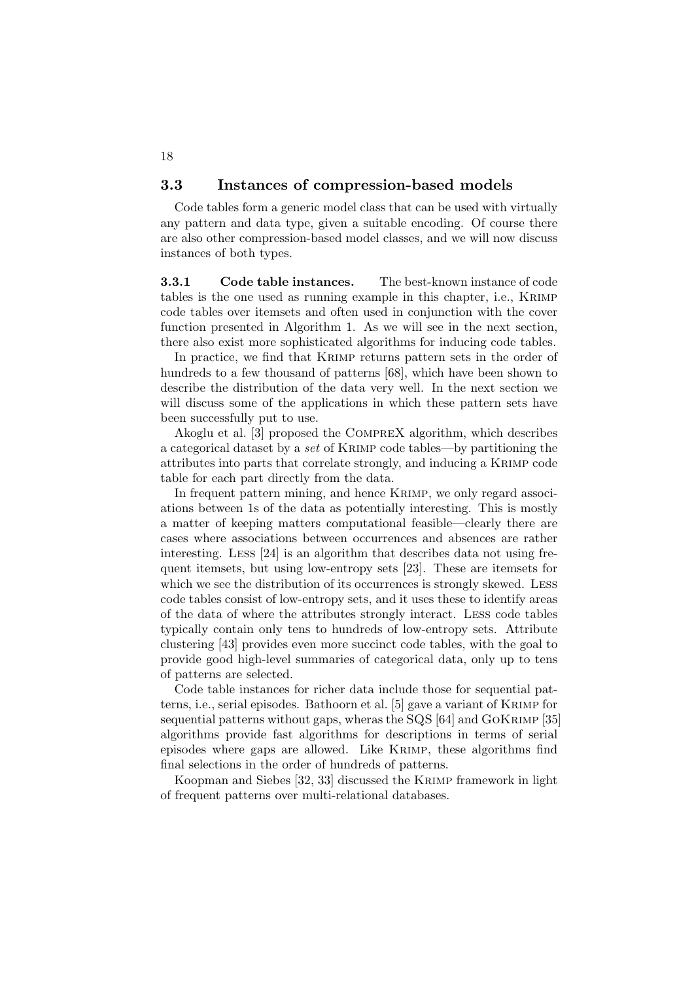#### 3.3 Instances of compression-based models

18

Code tables form a generic model class that can be used with virtually any pattern and data type, given a suitable encoding. Of course there are also other compression-based model classes, and we will now discuss instances of both types.

3.3.1 Code table instances. The best-known instance of code tables is the one used as running example in this chapter, i.e., Krimp code tables over itemsets and often used in conjunction with the cover function presented in Algorithm 1. As we will see in the next section, there also exist more sophisticated algorithms for inducing code tables.

In practice, we find that Krimp returns pattern sets in the order of hundreds to a few thousand of patterns [68], which have been shown to describe the distribution of the data very well. In the next section we will discuss some of the applications in which these pattern sets have been successfully put to use.

Akoglu et al. [3] proposed the CompreX algorithm, which describes a categorical dataset by a set of Krimp code tables—by partitioning the attributes into parts that correlate strongly, and inducing a Krimp code table for each part directly from the data.

In frequent pattern mining, and hence KRIMP, we only regard associ-ations between 1s of the data as potentially interesting. This is mostly a matter of keeping matters computational feasible—clearly there are cases where associations between occurrences and absences are rather interesting. Less [24] is an algorithm that describes data not using frequent itemsets, but using low-entropy sets [23]. These are itemsets for which we see the distribution of its occurrences is strongly skewed. Less code tables consist of low-entropy sets, and it uses these to identify areas of the data of where the attributes strongly interact. Less code tables typically contain only tens to hundreds of low-entropy sets. Attribute clustering [43] provides even more succinct code tables, with the goal to provide good high-level summaries of categorical data, only up to tens of patterns are selected.

Code table instances for richer data include those for sequential patterns, i.e., serial episodes. Bathoorn et al. [5] gave a variant of Krimp for sequential patterns without gaps, wheras the SQS [64] and GoKrimp [35] algorithms provide fast algorithms for descriptions in terms of serial episodes where gaps are allowed. Like Krimp, these algorithms find final selections in the order of hundreds of patterns.

Koopman and Siebes [32, 33] discussed the Krimp framework in light of frequent patterns over multi-relational databases.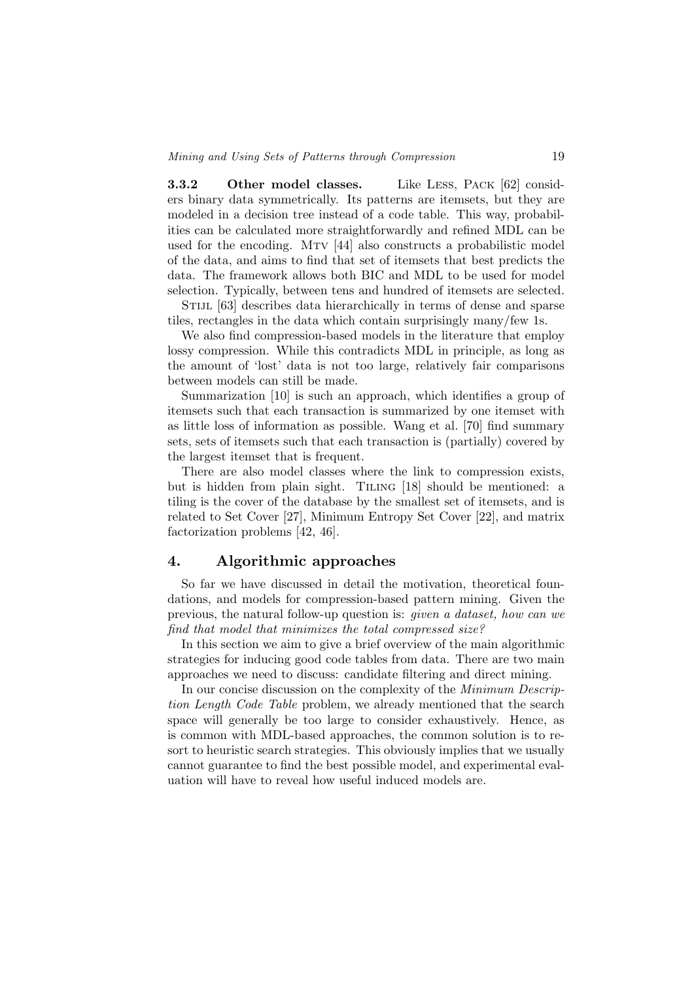3.3.2 Other model classes. Like Less, Pack [62] considers binary data symmetrically. Its patterns are itemsets, but they are modeled in a decision tree instead of a code table. This way, probabilities can be calculated more straightforwardly and refined MDL can be used for the encoding. MTV [44] also constructs a probabilistic model of the data, and aims to find that set of itemsets that best predicts the data. The framework allows both BIC and MDL to be used for model selection. Typically, between tens and hundred of itemsets are selected.

STIJL [63] describes data hierarchically in terms of dense and sparse tiles, rectangles in the data which contain surprisingly many/few 1s.

We also find compression-based models in the literature that employ lossy compression. While this contradicts MDL in principle, as long as the amount of 'lost' data is not too large, relatively fair comparisons between models can still be made.

Summarization [10] is such an approach, which identifies a group of itemsets such that each transaction is summarized by one itemset with as little loss of information as possible. Wang et al. [70] find summary sets, sets of itemsets such that each transaction is (partially) covered by the largest itemset that is frequent.

There are also model classes where the link to compression exists, but is hidden from plain sight. Tiling [18] should be mentioned: a tiling is the cover of the database by the smallest set of itemsets, and is related to Set Cover [27], Minimum Entropy Set Cover [22], and matrix factorization problems [42, 46].

#### 4. Algorithmic approaches

So far we have discussed in detail the motivation, theoretical foundations, and models for compression-based pattern mining. Given the previous, the natural follow-up question is: given a dataset, how can we find that model that minimizes the total compressed size?

In this section we aim to give a brief overview of the main algorithmic strategies for inducing good code tables from data. There are two main approaches we need to discuss: candidate filtering and direct mining.

In our concise discussion on the complexity of the *Minimum Descrip*tion Length Code Table problem, we already mentioned that the search space will generally be too large to consider exhaustively. Hence, as is common with MDL-based approaches, the common solution is to resort to heuristic search strategies. This obviously implies that we usually cannot guarantee to find the best possible model, and experimental evaluation will have to reveal how useful induced models are.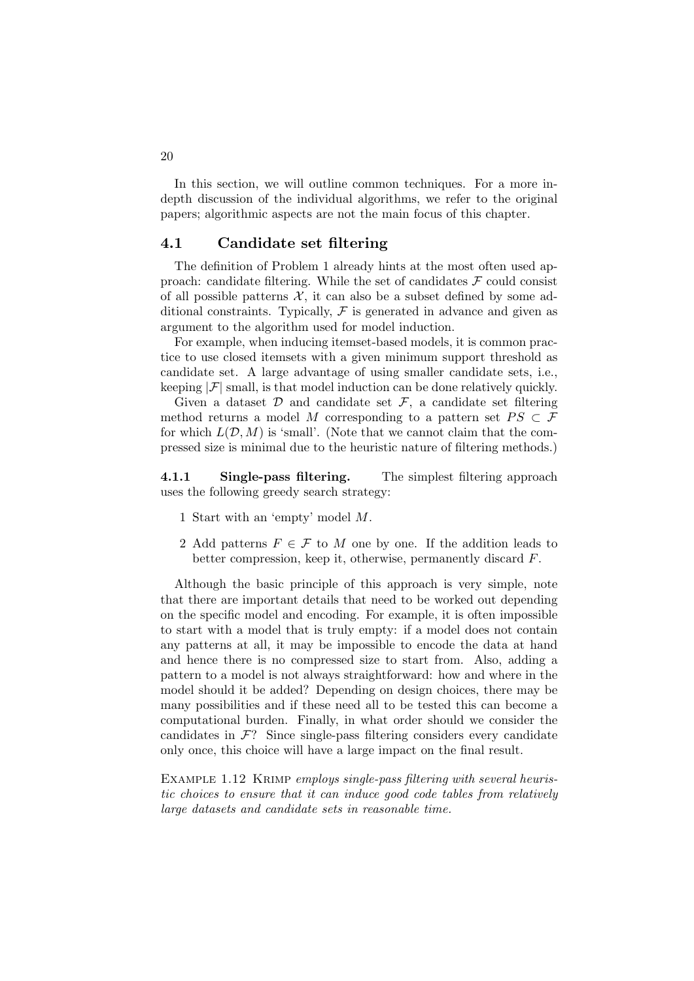In this section, we will outline common techniques. For a more indepth discussion of the individual algorithms, we refer to the original papers; algorithmic aspects are not the main focus of this chapter.

## 4.1 Candidate set filtering

The definition of Problem 1 already hints at the most often used approach: candidate filtering. While the set of candidates  $\mathcal F$  could consist of all possible patterns  $\mathcal{X}$ , it can also be a subset defined by some additional constraints. Typically,  $\mathcal F$  is generated in advance and given as argument to the algorithm used for model induction.

For example, when inducing itemset-based models, it is common practice to use closed itemsets with a given minimum support threshold as candidate set. A large advantage of using smaller candidate sets, i.e., keeping  $|\mathcal{F}|$  small, is that model induction can be done relatively quickly.

Given a dataset  $\mathcal D$  and candidate set  $\mathcal F$ , a candidate set filtering method returns a model M corresponding to a pattern set  $PS \subset \mathcal{F}$ for which  $L(\mathcal{D}, M)$  is 'small'. (Note that we cannot claim that the compressed size is minimal due to the heuristic nature of filtering methods.)

4.1.1 Single-pass filtering. The simplest filtering approach uses the following greedy search strategy:

- 1 Start with an 'empty' model M.
- 2 Add patterns  $F \in \mathcal{F}$  to M one by one. If the addition leads to better compression, keep it, otherwise, permanently discard F.

Although the basic principle of this approach is very simple, note that there are important details that need to be worked out depending on the specific model and encoding. For example, it is often impossible to start with a model that is truly empty: if a model does not contain any patterns at all, it may be impossible to encode the data at hand and hence there is no compressed size to start from. Also, adding a pattern to a model is not always straightforward: how and where in the model should it be added? Depending on design choices, there may be many possibilities and if these need all to be tested this can become a computational burden. Finally, in what order should we consider the candidates in  $\mathcal{F}$ ? Since single-pass filtering considers every candidate only once, this choice will have a large impact on the final result.

EXAMPLE 1.12 KRIMP employs single-pass filtering with several heuristic choices to ensure that it can induce good code tables from relatively large datasets and candidate sets in reasonable time.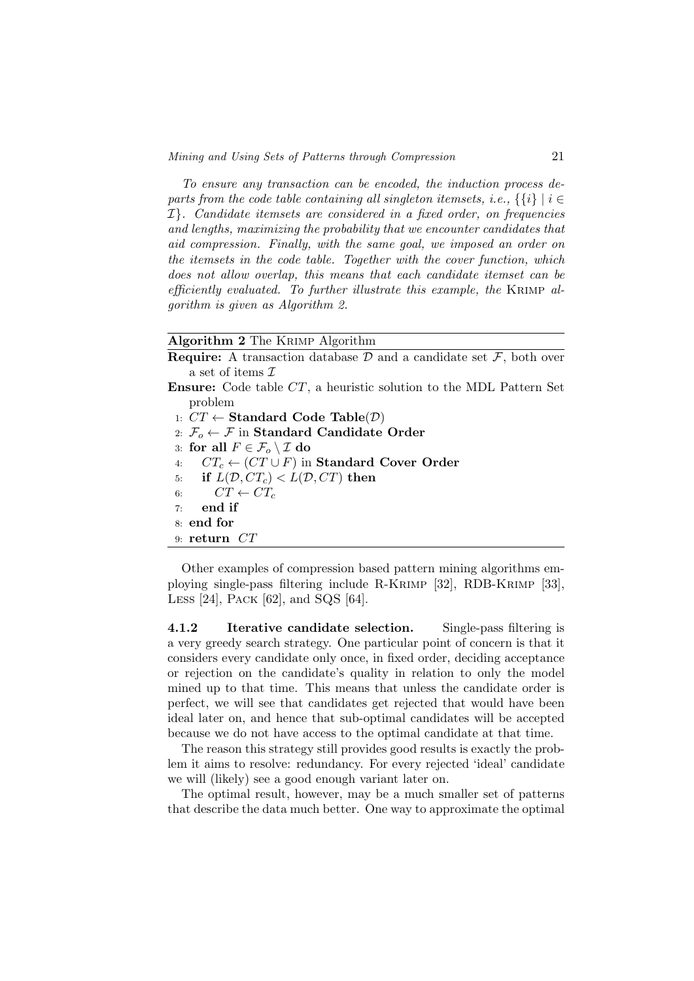To ensure any transaction can be encoded, the induction process departs from the code table containing all singleton itemsets, i.e.,  $\{\{i\} \mid i \in$ I}. Candidate itemsets are considered in a fixed order, on frequencies and lengths, maximizing the probability that we encounter candidates that aid compression. Finally, with the same goal, we imposed an order on the itemsets in the code table. Together with the cover function, which does not allow overlap, this means that each candidate itemset can be efficiently evaluated. To further illustrate this example, the Krimp algorithm is given as Algorithm 2.

#### Algorithm 2 The Krimp Algorithm

**Require:** A transaction database  $\mathcal{D}$  and a candidate set  $\mathcal{F}$ , both over a set of items  $\mathcal I$ 

Ensure: Code table CT, a heuristic solution to the MDL Pattern Set problem

1:  $CT$  ← Standard Code Table(D)

```
2: \mathcal{F}_o \leftarrow \mathcal{F} in Standard Candidate Order
```

```
3: for all F \in \mathcal{F}_o \setminus \mathcal{I} do
```

```
4: CT_c \leftarrow (CT \cup F) in Standard Cover Order
```

```
5: if L(\mathcal{D},CT_c) < L(\mathcal{D},CT) then
```
6:  $CT \leftarrow CT_c$ 

```
7: end if
```
8: end for

```
9: return CT
```
Other examples of compression based pattern mining algorithms employing single-pass filtering include R-Krimp [32], RDB-Krimp [33], Less [24], Pack [62], and SQS [64].

4.1.2 Iterative candidate selection. Single-pass filtering is a very greedy search strategy. One particular point of concern is that it considers every candidate only once, in fixed order, deciding acceptance or rejection on the candidate's quality in relation to only the model mined up to that time. This means that unless the candidate order is perfect, we will see that candidates get rejected that would have been ideal later on, and hence that sub-optimal candidates will be accepted because we do not have access to the optimal candidate at that time.

The reason this strategy still provides good results is exactly the problem it aims to resolve: redundancy. For every rejected 'ideal' candidate we will (likely) see a good enough variant later on.

The optimal result, however, may be a much smaller set of patterns that describe the data much better. One way to approximate the optimal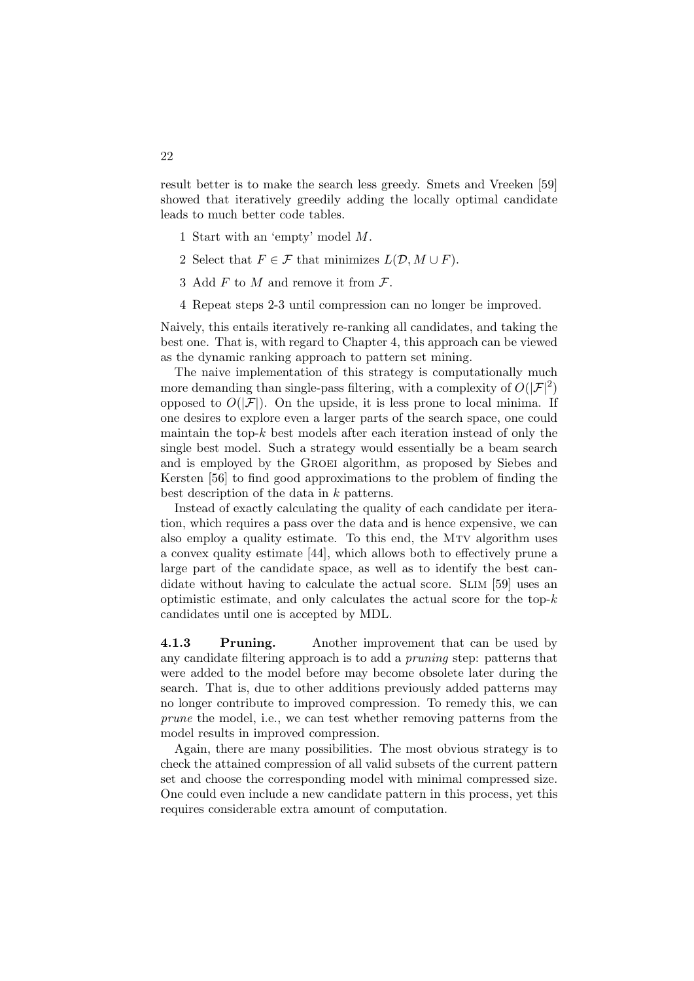result better is to make the search less greedy. Smets and Vreeken [59] showed that iteratively greedily adding the locally optimal candidate leads to much better code tables.

- 1 Start with an 'empty' model M.
- 2 Select that  $F \in \mathcal{F}$  that minimizes  $L(\mathcal{D}, M \cup F)$ .
- 3 Add  $F$  to  $M$  and remove it from  $\mathcal{F}$ .
- 4 Repeat steps 2-3 until compression can no longer be improved.

Naively, this entails iteratively re-ranking all candidates, and taking the best one. That is, with regard to Chapter 4, this approach can be viewed as the dynamic ranking approach to pattern set mining.

The naive implementation of this strategy is computationally much more demanding than single-pass filtering, with a complexity of  $O(|\mathcal{F}|^2)$ opposed to  $O(|\mathcal{F}|)$ . On the upside, it is less prone to local minima. If one desires to explore even a larger parts of the search space, one could maintain the top- $k$  best models after each iteration instead of only the single best model. Such a strategy would essentially be a beam search and is employed by the Groei algorithm, as proposed by Siebes and Kersten [56] to find good approximations to the problem of finding the best description of the data in k patterns.

Instead of exactly calculating the quality of each candidate per iteration, which requires a pass over the data and is hence expensive, we can also employ a quality estimate. To this end, the MTV algorithm uses a convex quality estimate [44], which allows both to effectively prune a large part of the candidate space, as well as to identify the best candidate without having to calculate the actual score. SLIM [59] uses an optimistic estimate, and only calculates the actual score for the top- $k$ candidates until one is accepted by MDL.

4.1.3 Pruning. Another improvement that can be used by any candidate filtering approach is to add a pruning step: patterns that were added to the model before may become obsolete later during the search. That is, due to other additions previously added patterns may no longer contribute to improved compression. To remedy this, we can prune the model, i.e., we can test whether removing patterns from the model results in improved compression.

Again, there are many possibilities. The most obvious strategy is to check the attained compression of all valid subsets of the current pattern set and choose the corresponding model with minimal compressed size. One could even include a new candidate pattern in this process, yet this requires considerable extra amount of computation.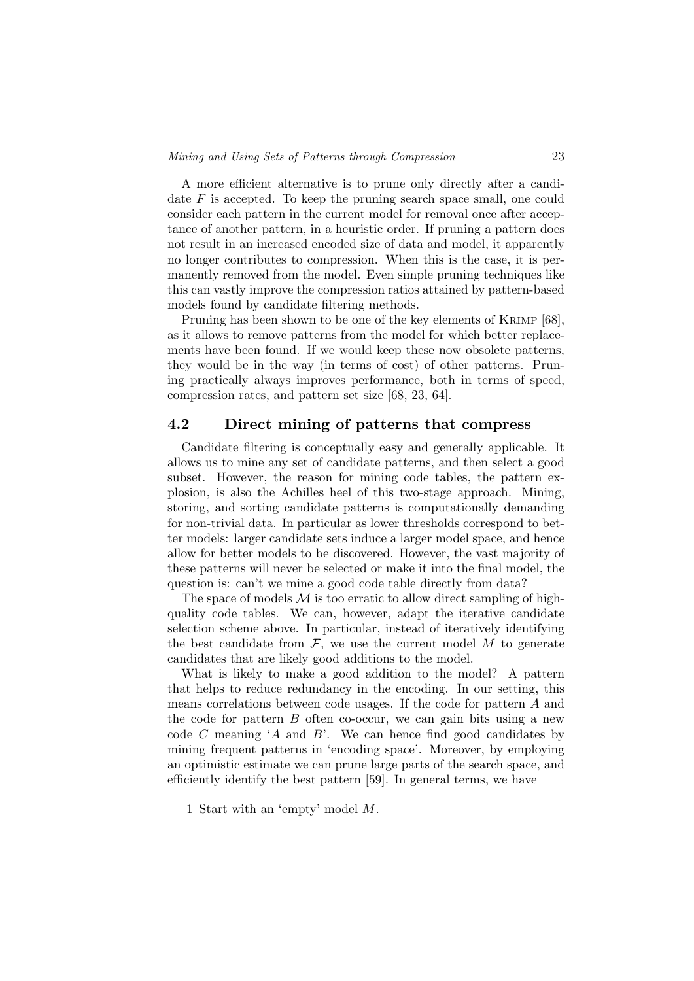A more efficient alternative is to prune only directly after a candidate  $F$  is accepted. To keep the pruning search space small, one could consider each pattern in the current model for removal once after acceptance of another pattern, in a heuristic order. If pruning a pattern does not result in an increased encoded size of data and model, it apparently no longer contributes to compression. When this is the case, it is permanently removed from the model. Even simple pruning techniques like this can vastly improve the compression ratios attained by pattern-based models found by candidate filtering methods.

Pruning has been shown to be one of the key elements of Krimp [68], as it allows to remove patterns from the model for which better replacements have been found. If we would keep these now obsolete patterns, they would be in the way (in terms of cost) of other patterns. Pruning practically always improves performance, both in terms of speed, compression rates, and pattern set size [68, 23, 64].

## 4.2 Direct mining of patterns that compress

Candidate filtering is conceptually easy and generally applicable. It allows us to mine any set of candidate patterns, and then select a good subset. However, the reason for mining code tables, the pattern explosion, is also the Achilles heel of this two-stage approach. Mining, storing, and sorting candidate patterns is computationally demanding for non-trivial data. In particular as lower thresholds correspond to better models: larger candidate sets induce a larger model space, and hence allow for better models to be discovered. However, the vast majority of these patterns will never be selected or make it into the final model, the question is: can't we mine a good code table directly from data?

The space of models  $M$  is too erratic to allow direct sampling of highquality code tables. We can, however, adapt the iterative candidate selection scheme above. In particular, instead of iteratively identifying the best candidate from  $\mathcal{F}$ , we use the current model M to generate candidates that are likely good additions to the model.

What is likely to make a good addition to the model? A pattern that helps to reduce redundancy in the encoding. In our setting, this means correlations between code usages. If the code for pattern A and the code for pattern  $B$  often co-occur, we can gain bits using a new code C meaning  $A$  and  $B$ . We can hence find good candidates by mining frequent patterns in 'encoding space'. Moreover, by employing an optimistic estimate we can prune large parts of the search space, and efficiently identify the best pattern [59]. In general terms, we have

1 Start with an 'empty' model M.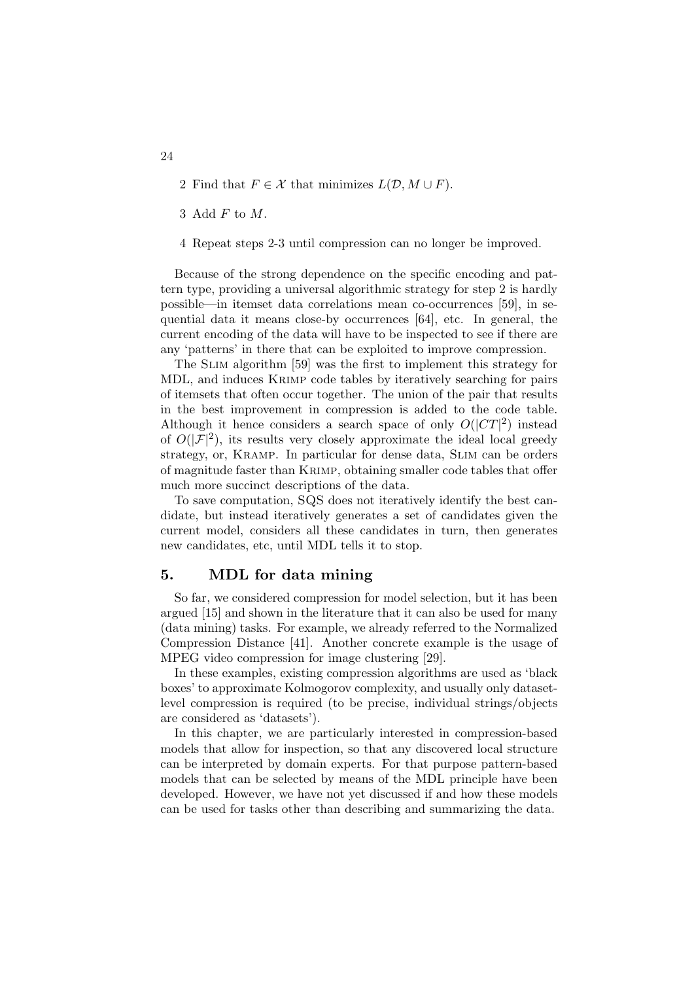- 2 Find that  $F \in \mathcal{X}$  that minimizes  $L(\mathcal{D}, M \cup F)$ .
- 3 Add  $F$  to  $M$ .
- 4 Repeat steps 2-3 until compression can no longer be improved.

Because of the strong dependence on the specific encoding and pattern type, providing a universal algorithmic strategy for step 2 is hardly possible—in itemset data correlations mean co-occurrences [59], in sequential data it means close-by occurrences [64], etc. In general, the current encoding of the data will have to be inspected to see if there are any 'patterns' in there that can be exploited to improve compression.

The SLIM algorithm [59] was the first to implement this strategy for MDL, and induces Krimp code tables by iteratively searching for pairs of itemsets that often occur together. The union of the pair that results in the best improvement in compression is added to the code table. Although it hence considers a search space of only  $O(|CT|^2)$  instead of  $O(|\mathcal{F}|^2)$ , its results very closely approximate the ideal local greedy strategy, or, Kramp. In particular for dense data, Slim can be orders of magnitude faster than Krimp, obtaining smaller code tables that offer much more succinct descriptions of the data.

To save computation, SQS does not iteratively identify the best candidate, but instead iteratively generates a set of candidates given the current model, considers all these candidates in turn, then generates new candidates, etc, until MDL tells it to stop.

#### 5. MDL for data mining

So far, we considered compression for model selection, but it has been argued [15] and shown in the literature that it can also be used for many (data mining) tasks. For example, we already referred to the Normalized Compression Distance [41]. Another concrete example is the usage of MPEG video compression for image clustering [29].

In these examples, existing compression algorithms are used as 'black boxes' to approximate Kolmogorov complexity, and usually only datasetlevel compression is required (to be precise, individual strings/objects are considered as 'datasets').

In this chapter, we are particularly interested in compression-based models that allow for inspection, so that any discovered local structure can be interpreted by domain experts. For that purpose pattern-based models that can be selected by means of the MDL principle have been developed. However, we have not yet discussed if and how these models can be used for tasks other than describing and summarizing the data.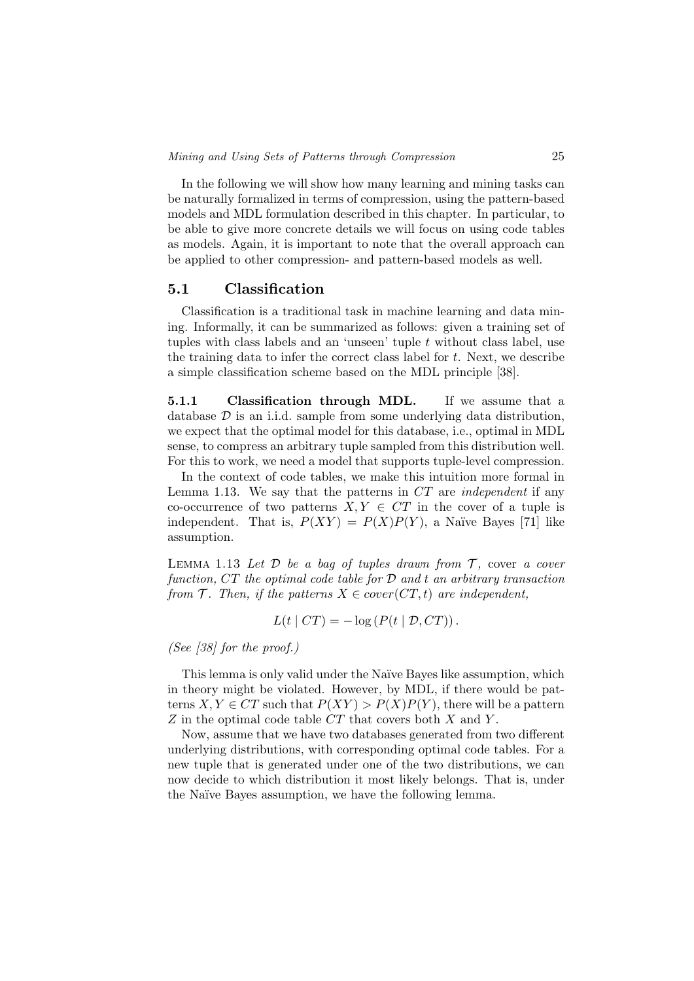In the following we will show how many learning and mining tasks can be naturally formalized in terms of compression, using the pattern-based models and MDL formulation described in this chapter. In particular, to be able to give more concrete details we will focus on using code tables as models. Again, it is important to note that the overall approach can be applied to other compression- and pattern-based models as well.

# 5.1 Classification

Classification is a traditional task in machine learning and data mining. Informally, it can be summarized as follows: given a training set of tuples with class labels and an 'unseen' tuple  $t$  without class label, use the training data to infer the correct class label for  $t$ . Next, we describe a simple classification scheme based on the MDL principle [38].

5.1.1 Classification through MDL. If we assume that a database  $\mathcal D$  is an i.i.d. sample from some underlying data distribution, we expect that the optimal model for this database, i.e., optimal in MDL sense, to compress an arbitrary tuple sampled from this distribution well. For this to work, we need a model that supports tuple-level compression.

In the context of code tables, we make this intuition more formal in Lemma 1.13. We say that the patterns in  $CT$  are *independent* if any co-occurrence of two patterns  $X, Y \in \mathbb{C}T$  in the cover of a tuple is independent. That is,  $P(XY) = P(X)P(Y)$ , a Naïve Bayes [71] like assumption.

LEMMA 1.13 Let  $D$  be a bag of tuples drawn from  $T$ , cover a cover function,  $CT$  the optimal code table for  $D$  and  $t$  an arbitrary transaction from  $\mathcal{T}$ . Then, if the patterns  $X \in cover(CT, t)$  are independent,

 $L(t \mid CT) = -\log(P(t \mid \mathcal{D}, CT)).$ 

(See [38] for the proof.)

This lemma is only valid under the Naïve Bayes like assumption, which in theory might be violated. However, by MDL, if there would be patterns  $X, Y \in CT$  such that  $P(XY) > P(X)P(Y)$ , there will be a pattern  $Z$  in the optimal code table  $CT$  that covers both  $X$  and  $Y$ .

Now, assume that we have two databases generated from two different underlying distributions, with corresponding optimal code tables. For a new tuple that is generated under one of the two distributions, we can now decide to which distribution it most likely belongs. That is, under the Naïve Bayes assumption, we have the following lemma.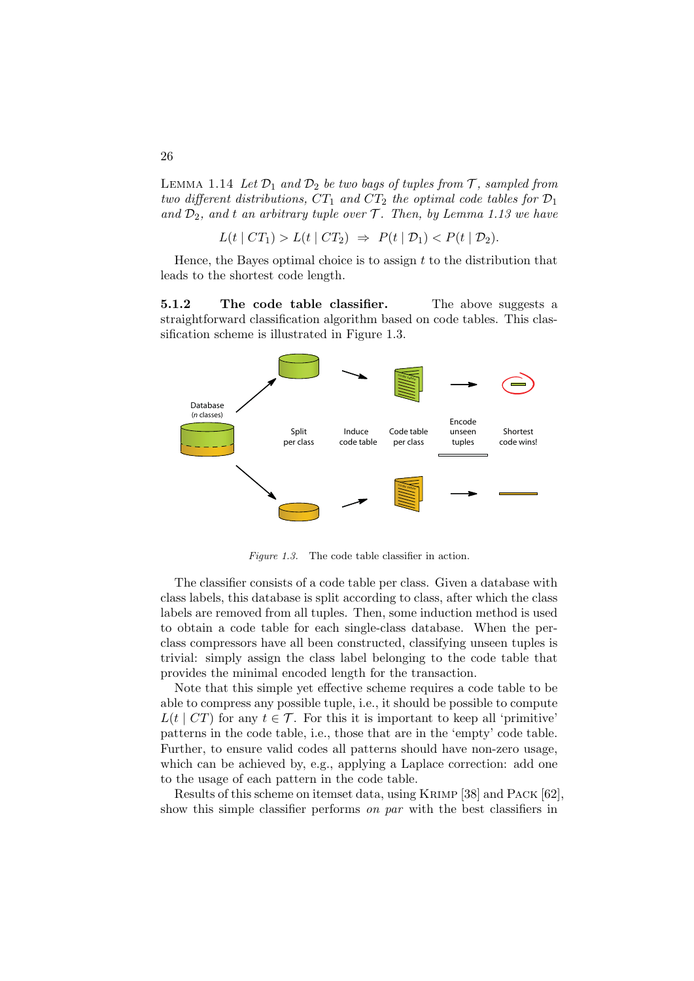LEMMA 1.14 Let  $\mathcal{D}_1$  and  $\mathcal{D}_2$  be two bags of tuples from  $\mathcal{T}$ , sampled from two different distributions,  $CT_1$  and  $CT_2$  the optimal code tables for  $\mathcal{D}_1$ and  $\mathcal{D}_2$ , and t an arbitrary tuple over T. Then, by Lemma 1.13 we have

$$
L(t \mid CT_1) > L(t \mid CT_2) \Rightarrow P(t \mid \mathcal{D}_1) < P(t \mid \mathcal{D}_2).
$$

Hence, the Bayes optimal choice is to assign  $t$  to the distribution that leads to the shortest code length.

5.1.2 The code table classifier. The above suggests a straightforward classification algorithm based on code tables. This classification scheme is illustrated in Figure 1.3.



Figure 1.3. The code table classifier in action.

The classifier consists of a code table per class. Given a database with class labels, this database is split according to class, after which the class labels are removed from all tuples. Then, some induction method is used to obtain a code table for each single-class database. When the perclass compressors have all been constructed, classifying unseen tuples is trivial: simply assign the class label belonging to the code table that provides the minimal encoded length for the transaction.

Note that this simple yet effective scheme requires a code table to be able to compress any possible tuple, i.e., it should be possible to compute  $L(t \mid CT)$  for any  $t \in \mathcal{T}$ . For this it is important to keep all 'primitive' patterns in the code table, i.e., those that are in the 'empty' code table. Further, to ensure valid codes all patterns should have non-zero usage, which can be achieved by, e.g., applying a Laplace correction: add one to the usage of each pattern in the code table.

Results of this scheme on itemset data, using Krimp [38] and Pack [62], show this simple classifier performs on par with the best classifiers in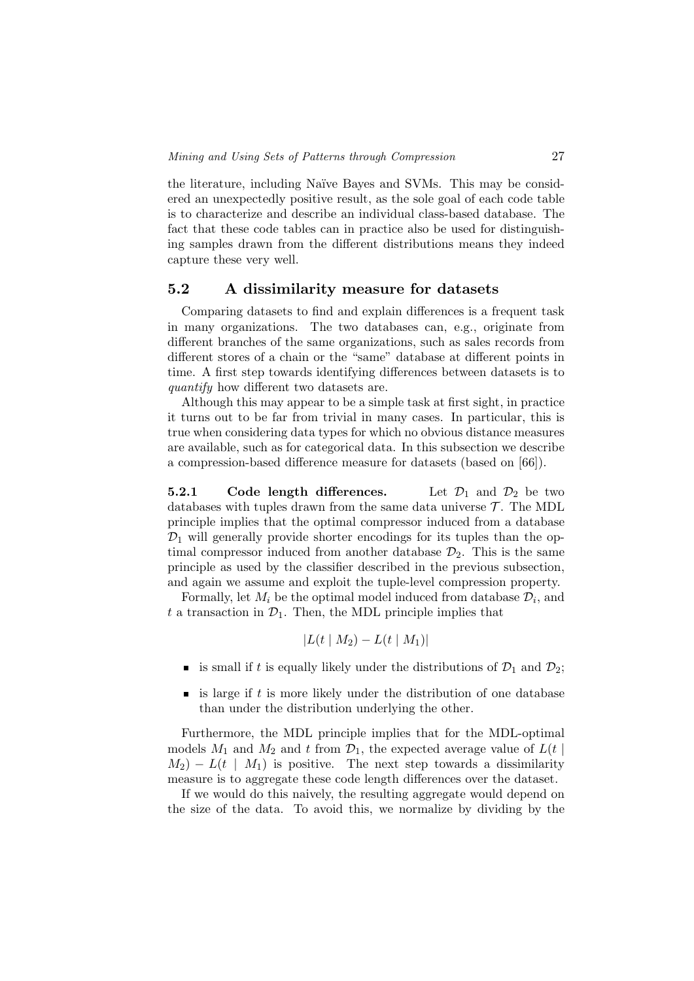the literature, including Naïve Bayes and SVMs. This may be considered an unexpectedly positive result, as the sole goal of each code table is to characterize and describe an individual class-based database. The fact that these code tables can in practice also be used for distinguishing samples drawn from the different distributions means they indeed capture these very well.

#### 5.2 A dissimilarity measure for datasets

Comparing datasets to find and explain differences is a frequent task in many organizations. The two databases can, e.g., originate from different branches of the same organizations, such as sales records from different stores of a chain or the "same" database at different points in time. A first step towards identifying differences between datasets is to quantify how different two datasets are.

Although this may appear to be a simple task at first sight, in practice it turns out to be far from trivial in many cases. In particular, this is true when considering data types for which no obvious distance measures are available, such as for categorical data. In this subsection we describe a compression-based difference measure for datasets (based on [66]).

**5.2.1** Code length differences. Let  $\mathcal{D}_1$  and  $\mathcal{D}_2$  be two databases with tuples drawn from the same data universe  $\mathcal{T}$ . The MDL principle implies that the optimal compressor induced from a database  $\mathcal{D}_1$  will generally provide shorter encodings for its tuples than the optimal compressor induced from another database  $\mathcal{D}_2$ . This is the same principle as used by the classifier described in the previous subsection, and again we assume and exploit the tuple-level compression property.

Formally, let  $M_i$  be the optimal model induced from database  $\mathcal{D}_i$ , and t a transaction in  $\mathcal{D}_1$ . Then, the MDL principle implies that

$$
|L(t \mid M_2) - L(t \mid M_1)|
$$

- is small if t is equally likely under the distributions of  $\mathcal{D}_1$  and  $\mathcal{D}_2$ ;
- is large if  $t$  is more likely under the distribution of one database than under the distribution underlying the other.

Furthermore, the MDL principle implies that for the MDL-optimal models  $M_1$  and  $M_2$  and t from  $\mathcal{D}_1$ , the expected average value of  $L(t)$  $M_2$ ) −  $L(t \mid M_1)$  is positive. The next step towards a dissimilarity measure is to aggregate these code length differences over the dataset.

If we would do this naively, the resulting aggregate would depend on the size of the data. To avoid this, we normalize by dividing by the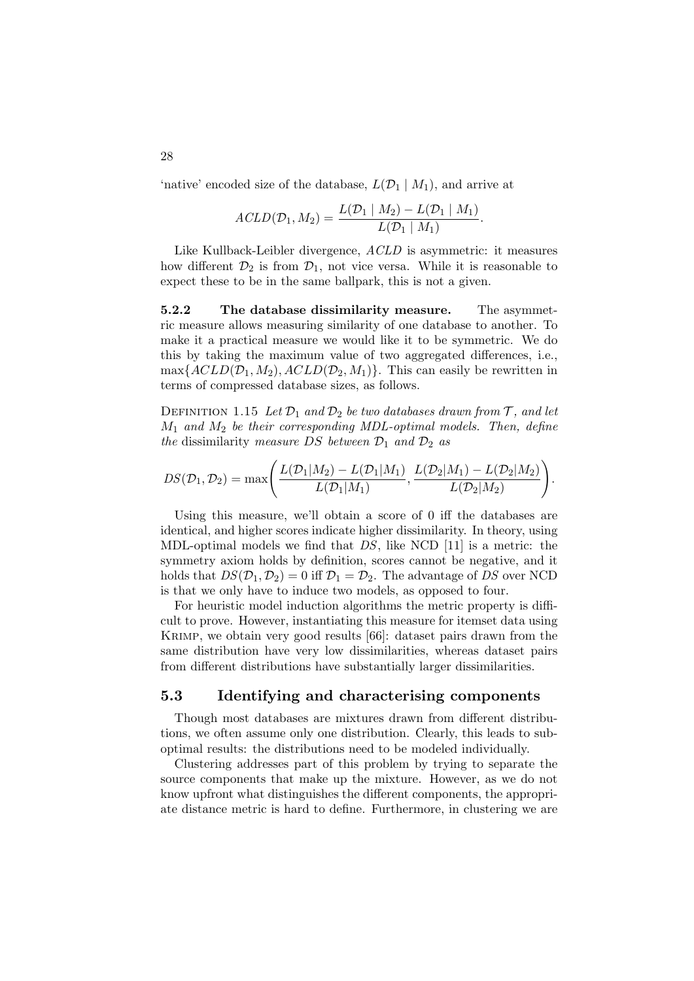'native' encoded size of the database,  $L(\mathcal{D}_1 | M_1)$ , and arrive at

$$
ACLD(\mathcal{D}_1, M_2) = \frac{L(\mathcal{D}_1 \mid M_2) - L(\mathcal{D}_1 \mid M_1)}{L(\mathcal{D}_1 \mid M_1)}.
$$

Like Kullback-Leibler divergence, ACLD is asymmetric: it measures how different  $\mathcal{D}_2$  is from  $\mathcal{D}_1$ , not vice versa. While it is reasonable to expect these to be in the same ballpark, this is not a given.

5.2.2 The database dissimilarity measure. The asymmetric measure allows measuring similarity of one database to another. To make it a practical measure we would like it to be symmetric. We do this by taking the maximum value of two aggregated differences, i.e.,  $\max\{ACLD(\mathcal{D}_1, M_2), ACLD(\mathcal{D}_2, M_1)\}\.$  This can easily be rewritten in terms of compressed database sizes, as follows.

DEFINITION 1.15 Let  $\mathcal{D}_1$  and  $\mathcal{D}_2$  be two databases drawn from  $\mathcal{T}$ , and let  $M_1$  and  $M_2$  be their corresponding MDL-optimal models. Then, define the dissimilarity measure DS between  $\mathcal{D}_1$  and  $\mathcal{D}_2$  as

$$
DS(\mathcal{D}_1, \mathcal{D}_2) = \max \Biggl( \frac{L(\mathcal{D}_1 | M_2) - L(\mathcal{D}_1 | M_1)}{L(\mathcal{D}_1 | M_1)}, \frac{L(\mathcal{D}_2 | M_1) - L(\mathcal{D}_2 | M_2)}{L(\mathcal{D}_2 | M_2)} \Biggr).
$$

Using this measure, we'll obtain a score of 0 iff the databases are identical, and higher scores indicate higher dissimilarity. In theory, using MDL-optimal models we find that  $DS$ , like NCD [11] is a metric: the symmetry axiom holds by definition, scores cannot be negative, and it holds that  $DS(\mathcal{D}_1, \mathcal{D}_2) = 0$  iff  $\mathcal{D}_1 = \mathcal{D}_2$ . The advantage of DS over NCD is that we only have to induce two models, as opposed to four.

For heuristic model induction algorithms the metric property is difficult to prove. However, instantiating this measure for itemset data using Krimp, we obtain very good results [66]: dataset pairs drawn from the same distribution have very low dissimilarities, whereas dataset pairs from different distributions have substantially larger dissimilarities.

#### 5.3 Identifying and characterising components

Though most databases are mixtures drawn from different distributions, we often assume only one distribution. Clearly, this leads to suboptimal results: the distributions need to be modeled individually.

Clustering addresses part of this problem by trying to separate the source components that make up the mixture. However, as we do not know upfront what distinguishes the different components, the appropriate distance metric is hard to define. Furthermore, in clustering we are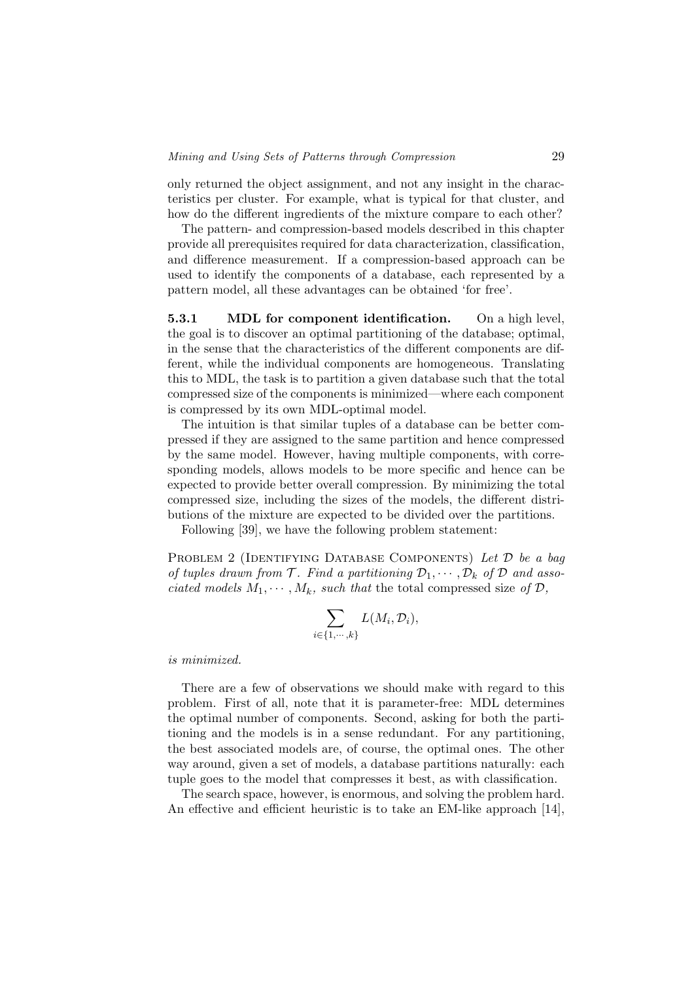only returned the object assignment, and not any insight in the characteristics per cluster. For example, what is typical for that cluster, and how do the different ingredients of the mixture compare to each other?

The pattern- and compression-based models described in this chapter provide all prerequisites required for data characterization, classification, and difference measurement. If a compression-based approach can be used to identify the components of a database, each represented by a pattern model, all these advantages can be obtained 'for free'.

5.3.1 MDL for component identification. On a high level, the goal is to discover an optimal partitioning of the database; optimal, in the sense that the characteristics of the different components are different, while the individual components are homogeneous. Translating this to MDL, the task is to partition a given database such that the total compressed size of the components is minimized—where each component is compressed by its own MDL-optimal model.

The intuition is that similar tuples of a database can be better compressed if they are assigned to the same partition and hence compressed by the same model. However, having multiple components, with corresponding models, allows models to be more specific and hence can be expected to provide better overall compression. By minimizing the total compressed size, including the sizes of the models, the different distributions of the mixture are expected to be divided over the partitions.

Following [39], we have the following problem statement:

PROBLEM 2 (IDENTIFYING DATABASE COMPONENTS) Let  $\mathcal D$  be a bag of tuples drawn from  $\mathcal T$ . Find a partitioning  $\mathcal D_1, \cdots, \mathcal D_k$  of  $\mathcal D$  and associated models  $M_1, \cdots, M_k$ , such that the total compressed size of  $\mathcal{D}$ ,

$$
\sum_{i\in\{1,\cdots,k\}}L(M_i,\mathcal{D}_i),
$$

#### is minimized.

There are a few of observations we should make with regard to this problem. First of all, note that it is parameter-free: MDL determines the optimal number of components. Second, asking for both the partitioning and the models is in a sense redundant. For any partitioning, the best associated models are, of course, the optimal ones. The other way around, given a set of models, a database partitions naturally: each tuple goes to the model that compresses it best, as with classification.

The search space, however, is enormous, and solving the problem hard. An effective and efficient heuristic is to take an EM-like approach [14],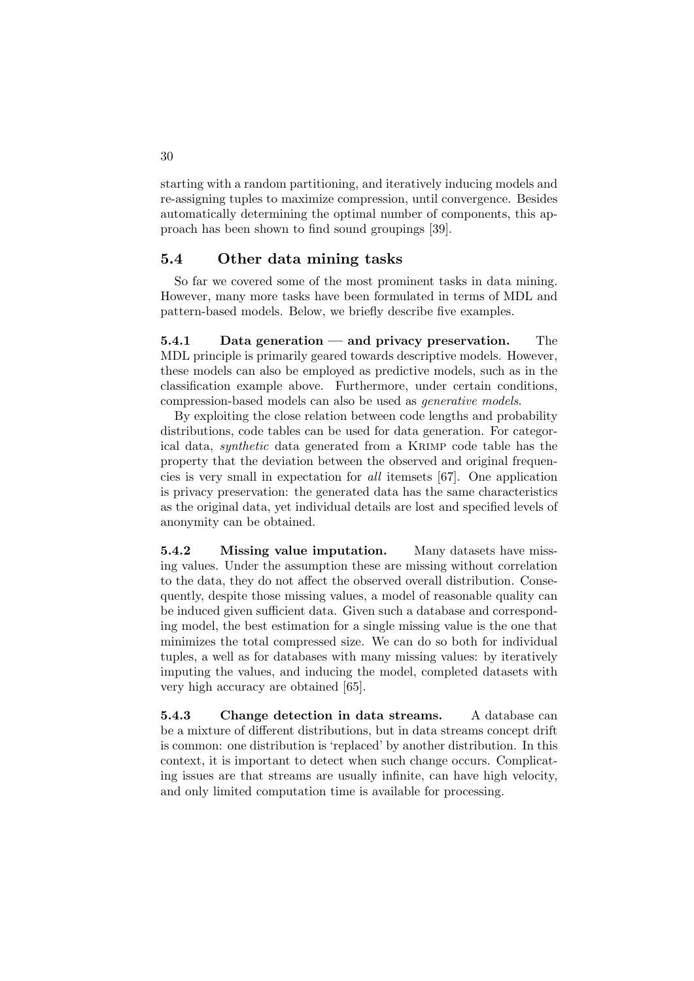starting with a random partitioning, and iteratively inducing models and re-assigning tuples to maximize compression, until convergence. Besides automatically determining the optimal number of components, this approach has been shown to find sound groupings [39].

## 5.4 Other data mining tasks

So far we covered some of the most prominent tasks in data mining. However, many more tasks have been formulated in terms of MDL and pattern-based models. Below, we briefly describe five examples.

5.4.1 Data generation — and privacy preservation. The MDL principle is primarily geared towards descriptive models. However, these models can also be employed as predictive models, such as in the classification example above. Furthermore, under certain conditions, compression-based models can also be used as generative models.

By exploiting the close relation between code lengths and probability distributions, code tables can be used for data generation. For categorical data, synthetic data generated from a Krimp code table has the property that the deviation between the observed and original frequencies is very small in expectation for all itemsets [67]. One application is privacy preservation: the generated data has the same characteristics as the original data, yet individual details are lost and specified levels of anonymity can be obtained.

5.4.2 Missing value imputation. Many datasets have missing values. Under the assumption these are missing without correlation to the data, they do not affect the observed overall distribution. Consequently, despite those missing values, a model of reasonable quality can be induced given sufficient data. Given such a database and corresponding model, the best estimation for a single missing value is the one that minimizes the total compressed size. We can do so both for individual tuples, a well as for databases with many missing values: by iteratively imputing the values, and inducing the model, completed datasets with very high accuracy are obtained [65].

5.4.3 Change detection in data streams. A database can be a mixture of different distributions, but in data streams concept drift is common: one distribution is 'replaced' by another distribution. In this context, it is important to detect when such change occurs. Complicating issues are that streams are usually infinite, can have high velocity, and only limited computation time is available for processing.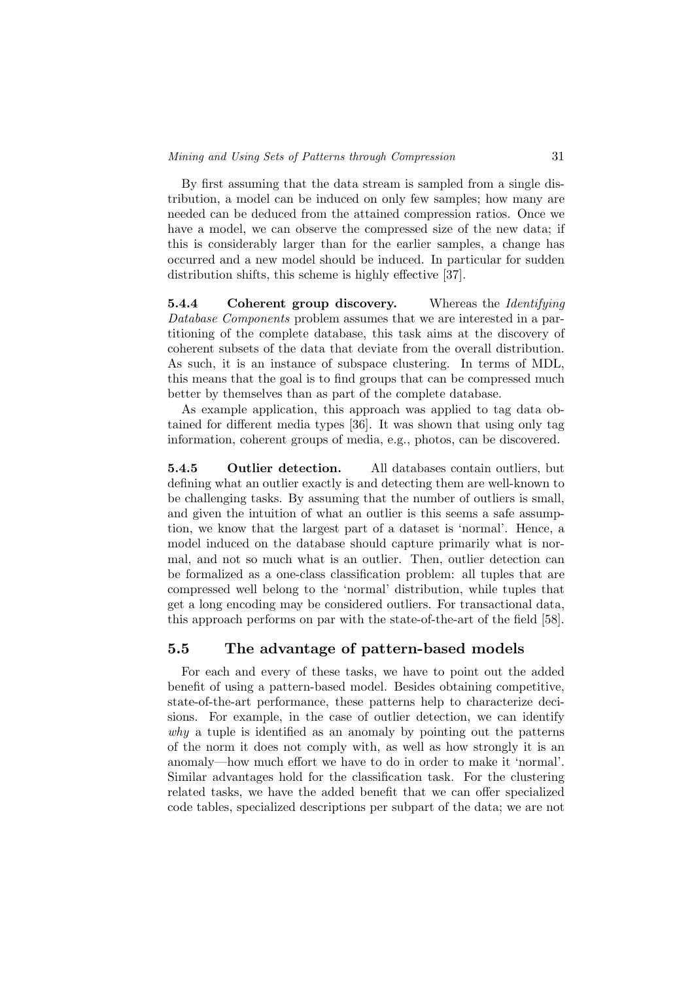By first assuming that the data stream is sampled from a single distribution, a model can be induced on only few samples; how many are needed can be deduced from the attained compression ratios. Once we have a model, we can observe the compressed size of the new data; if this is considerably larger than for the earlier samples, a change has occurred and a new model should be induced. In particular for sudden distribution shifts, this scheme is highly effective [37].

5.4.4 Coherent group discovery. Whereas the Identifying Database Components problem assumes that we are interested in a partitioning of the complete database, this task aims at the discovery of coherent subsets of the data that deviate from the overall distribution. As such, it is an instance of subspace clustering. In terms of MDL, this means that the goal is to find groups that can be compressed much better by themselves than as part of the complete database.

As example application, this approach was applied to tag data obtained for different media types [36]. It was shown that using only tag information, coherent groups of media, e.g., photos, can be discovered.

5.4.5 Outlier detection. All databases contain outliers, but defining what an outlier exactly is and detecting them are well-known to be challenging tasks. By assuming that the number of outliers is small, and given the intuition of what an outlier is this seems a safe assumption, we know that the largest part of a dataset is 'normal'. Hence, a model induced on the database should capture primarily what is normal, and not so much what is an outlier. Then, outlier detection can be formalized as a one-class classification problem: all tuples that are compressed well belong to the 'normal' distribution, while tuples that get a long encoding may be considered outliers. For transactional data, this approach performs on par with the state-of-the-art of the field [58].

## 5.5 The advantage of pattern-based models

For each and every of these tasks, we have to point out the added benefit of using a pattern-based model. Besides obtaining competitive, state-of-the-art performance, these patterns help to characterize decisions. For example, in the case of outlier detection, we can identify why a tuple is identified as an anomaly by pointing out the patterns of the norm it does not comply with, as well as how strongly it is an anomaly—how much effort we have to do in order to make it 'normal'. Similar advantages hold for the classification task. For the clustering related tasks, we have the added benefit that we can offer specialized code tables, specialized descriptions per subpart of the data; we are not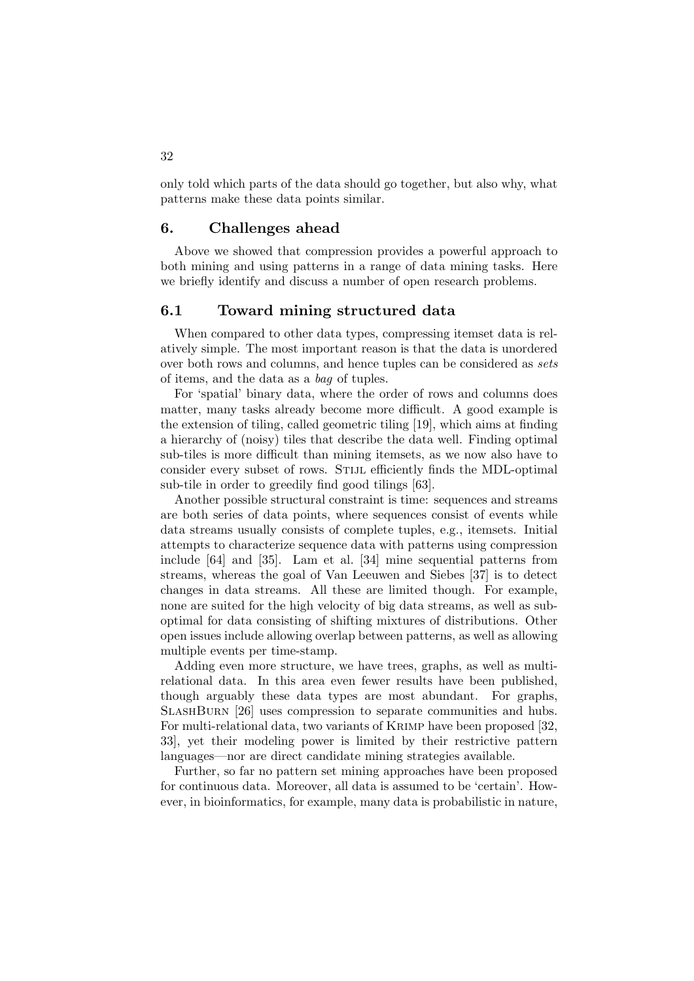only told which parts of the data should go together, but also why, what patterns make these data points similar.

#### 6. Challenges ahead

Above we showed that compression provides a powerful approach to both mining and using patterns in a range of data mining tasks. Here we briefly identify and discuss a number of open research problems.

## 6.1 Toward mining structured data

When compared to other data types, compressing itemset data is relatively simple. The most important reason is that the data is unordered over both rows and columns, and hence tuples can be considered as sets of items, and the data as a bag of tuples.

For 'spatial' binary data, where the order of rows and columns does matter, many tasks already become more difficult. A good example is the extension of tiling, called geometric tiling [19], which aims at finding a hierarchy of (noisy) tiles that describe the data well. Finding optimal sub-tiles is more difficult than mining itemsets, as we now also have to consider every subset of rows. STIJL efficiently finds the MDL-optimal sub-tile in order to greedily find good tilings [63].

Another possible structural constraint is time: sequences and streams are both series of data points, where sequences consist of events while data streams usually consists of complete tuples, e.g., itemsets. Initial attempts to characterize sequence data with patterns using compression include [64] and [35]. Lam et al. [34] mine sequential patterns from streams, whereas the goal of Van Leeuwen and Siebes [37] is to detect changes in data streams. All these are limited though. For example, none are suited for the high velocity of big data streams, as well as suboptimal for data consisting of shifting mixtures of distributions. Other open issues include allowing overlap between patterns, as well as allowing multiple events per time-stamp.

Adding even more structure, we have trees, graphs, as well as multirelational data. In this area even fewer results have been published, though arguably these data types are most abundant. For graphs, SlashBurn [26] uses compression to separate communities and hubs. For multi-relational data, two variants of Krimp have been proposed [32, 33], yet their modeling power is limited by their restrictive pattern languages—nor are direct candidate mining strategies available.

Further, so far no pattern set mining approaches have been proposed for continuous data. Moreover, all data is assumed to be 'certain'. However, in bioinformatics, for example, many data is probabilistic in nature,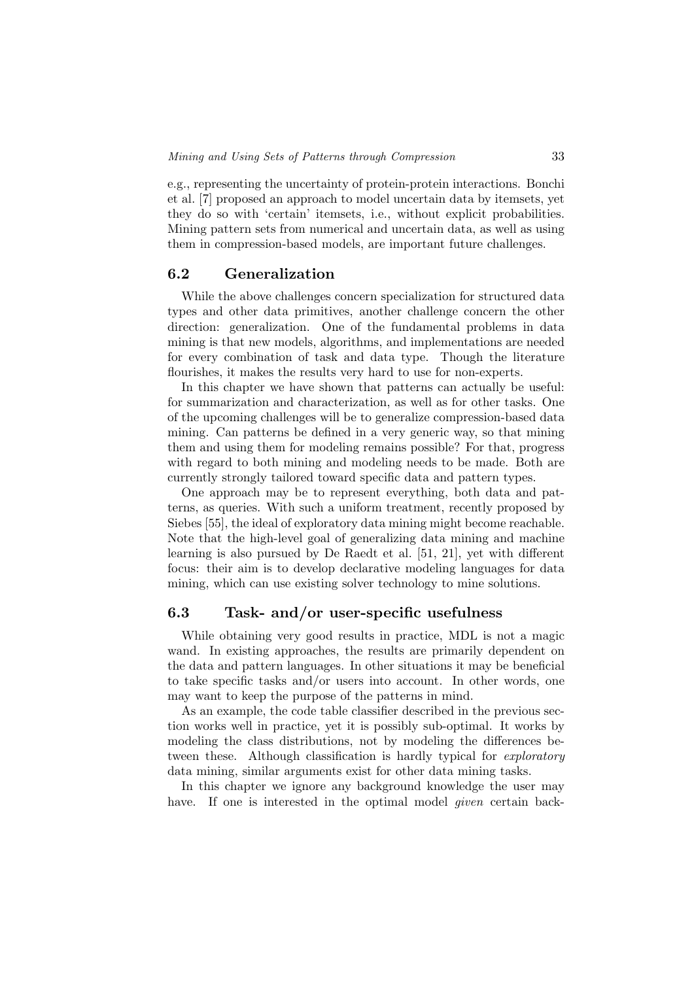e.g., representing the uncertainty of protein-protein interactions. Bonchi et al. [7] proposed an approach to model uncertain data by itemsets, yet they do so with 'certain' itemsets, i.e., without explicit probabilities. Mining pattern sets from numerical and uncertain data, as well as using them in compression-based models, are important future challenges.

## 6.2 Generalization

While the above challenges concern specialization for structured data types and other data primitives, another challenge concern the other direction: generalization. One of the fundamental problems in data mining is that new models, algorithms, and implementations are needed for every combination of task and data type. Though the literature flourishes, it makes the results very hard to use for non-experts.

In this chapter we have shown that patterns can actually be useful: for summarization and characterization, as well as for other tasks. One of the upcoming challenges will be to generalize compression-based data mining. Can patterns be defined in a very generic way, so that mining them and using them for modeling remains possible? For that, progress with regard to both mining and modeling needs to be made. Both are currently strongly tailored toward specific data and pattern types.

One approach may be to represent everything, both data and patterns, as queries. With such a uniform treatment, recently proposed by Siebes [55], the ideal of exploratory data mining might become reachable. Note that the high-level goal of generalizing data mining and machine learning is also pursued by De Raedt et al. [51, 21], yet with different focus: their aim is to develop declarative modeling languages for data mining, which can use existing solver technology to mine solutions.

## 6.3 Task- and/or user-specific usefulness

While obtaining very good results in practice, MDL is not a magic wand. In existing approaches, the results are primarily dependent on the data and pattern languages. In other situations it may be beneficial to take specific tasks and/or users into account. In other words, one may want to keep the purpose of the patterns in mind.

As an example, the code table classifier described in the previous section works well in practice, yet it is possibly sub-optimal. It works by modeling the class distributions, not by modeling the differences between these. Although classification is hardly typical for *exploratory* data mining, similar arguments exist for other data mining tasks.

In this chapter we ignore any background knowledge the user may have. If one is interested in the optimal model *given* certain back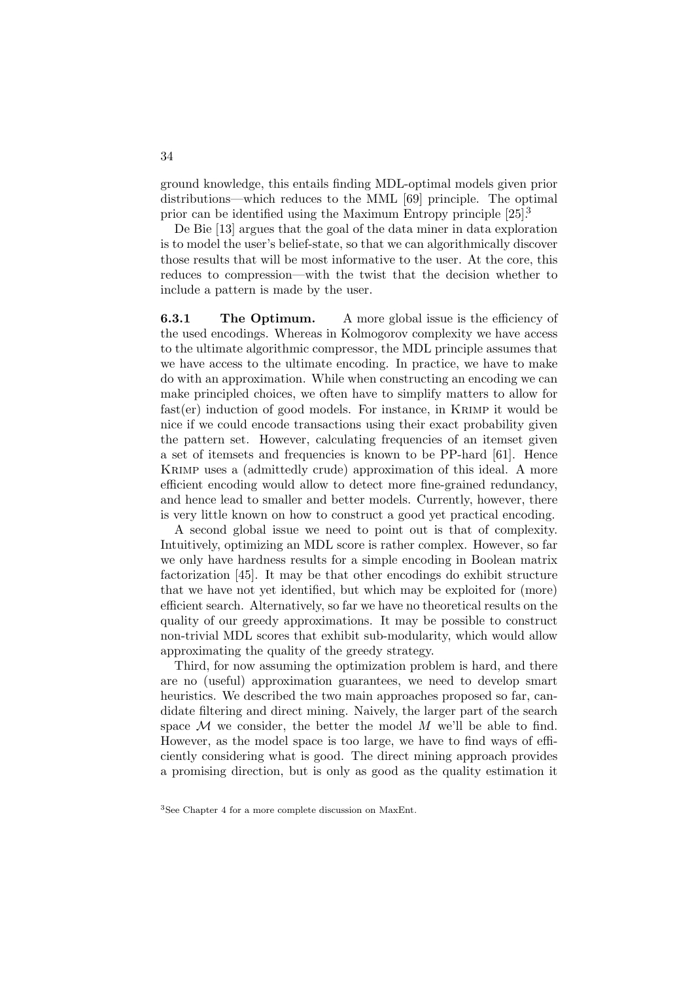ground knowledge, this entails finding MDL-optimal models given prior distributions—which reduces to the MML [69] principle. The optimal prior can be identified using the Maximum Entropy principle [25].<sup>3</sup>

De Bie [13] argues that the goal of the data miner in data exploration is to model the user's belief-state, so that we can algorithmically discover those results that will be most informative to the user. At the core, this reduces to compression—with the twist that the decision whether to include a pattern is made by the user.

**6.3.1** The Optimum. A more global issue is the efficiency of the used encodings. Whereas in Kolmogorov complexity we have access to the ultimate algorithmic compressor, the MDL principle assumes that we have access to the ultimate encoding. In practice, we have to make do with an approximation. While when constructing an encoding we can make principled choices, we often have to simplify matters to allow for fast(er) induction of good models. For instance, in Krimp it would be nice if we could encode transactions using their exact probability given the pattern set. However, calculating frequencies of an itemset given a set of itemsets and frequencies is known to be PP-hard [61]. Hence Krimp uses a (admittedly crude) approximation of this ideal. A more efficient encoding would allow to detect more fine-grained redundancy, and hence lead to smaller and better models. Currently, however, there is very little known on how to construct a good yet practical encoding.

A second global issue we need to point out is that of complexity. Intuitively, optimizing an MDL score is rather complex. However, so far we only have hardness results for a simple encoding in Boolean matrix factorization [45]. It may be that other encodings do exhibit structure that we have not yet identified, but which may be exploited for (more) efficient search. Alternatively, so far we have no theoretical results on the quality of our greedy approximations. It may be possible to construct non-trivial MDL scores that exhibit sub-modularity, which would allow approximating the quality of the greedy strategy.

Third, for now assuming the optimization problem is hard, and there are no (useful) approximation guarantees, we need to develop smart heuristics. We described the two main approaches proposed so far, candidate filtering and direct mining. Naively, the larger part of the search space  $\mathcal M$  we consider, the better the model  $M$  we'll be able to find. However, as the model space is too large, we have to find ways of efficiently considering what is good. The direct mining approach provides a promising direction, but is only as good as the quality estimation it

<sup>3</sup>See Chapter 4 for a more complete discussion on MaxEnt.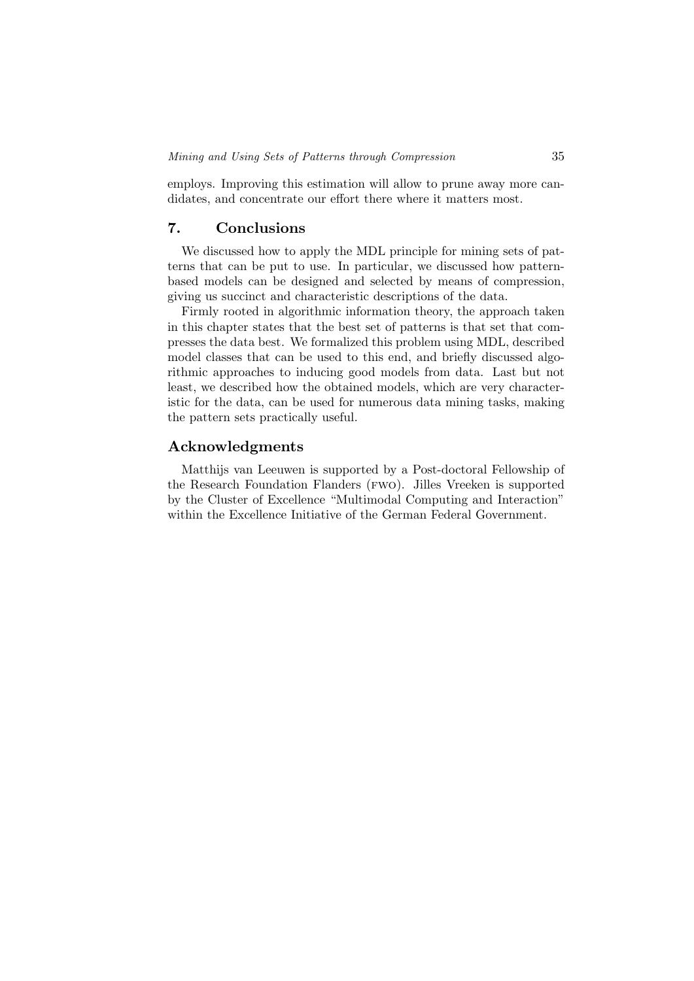employs. Improving this estimation will allow to prune away more candidates, and concentrate our effort there where it matters most.

## 7. Conclusions

We discussed how to apply the MDL principle for mining sets of patterns that can be put to use. In particular, we discussed how patternbased models can be designed and selected by means of compression, giving us succinct and characteristic descriptions of the data.

Firmly rooted in algorithmic information theory, the approach taken in this chapter states that the best set of patterns is that set that compresses the data best. We formalized this problem using MDL, described model classes that can be used to this end, and briefly discussed algorithmic approaches to inducing good models from data. Last but not least, we described how the obtained models, which are very characteristic for the data, can be used for numerous data mining tasks, making the pattern sets practically useful.

## Acknowledgments

Matthijs van Leeuwen is supported by a Post-doctoral Fellowship of the Research Foundation Flanders (fwo). Jilles Vreeken is supported by the Cluster of Excellence "Multimodal Computing and Interaction" within the Excellence Initiative of the German Federal Government.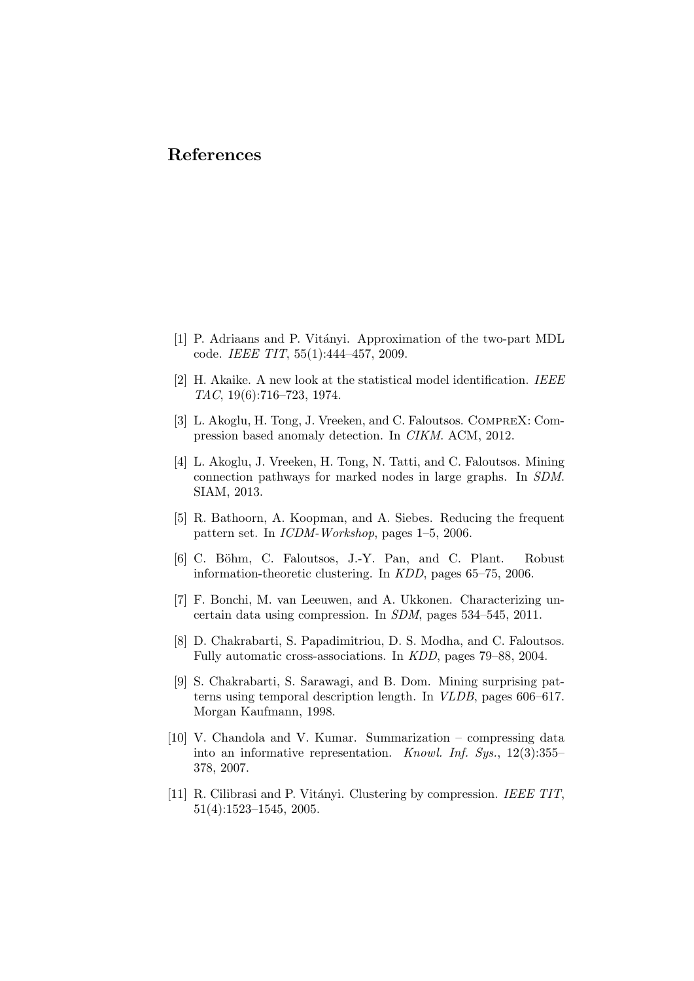# References

- [1] P. Adriaans and P. Vitányi. Approximation of the two-part MDL code. IEEE TIT, 55(1):444–457, 2009.
- [2] H. Akaike. A new look at the statistical model identification. IEEE TAC, 19(6):716–723, 1974.
- [3] L. Akoglu, H. Tong, J. Vreeken, and C. Faloutsos. CompreX: Compression based anomaly detection. In CIKM. ACM, 2012.
- [4] L. Akoglu, J. Vreeken, H. Tong, N. Tatti, and C. Faloutsos. Mining connection pathways for marked nodes in large graphs. In SDM. SIAM, 2013.
- [5] R. Bathoorn, A. Koopman, and A. Siebes. Reducing the frequent pattern set. In ICDM-Workshop, pages 1–5, 2006.
- [6] C. Böhm, C. Faloutsos, J.-Y. Pan, and C. Plant. Robust information-theoretic clustering. In KDD, pages 65–75, 2006.
- [7] F. Bonchi, M. van Leeuwen, and A. Ukkonen. Characterizing uncertain data using compression. In SDM, pages 534–545, 2011.
- [8] D. Chakrabarti, S. Papadimitriou, D. S. Modha, and C. Faloutsos. Fully automatic cross-associations. In KDD, pages 79–88, 2004.
- [9] S. Chakrabarti, S. Sarawagi, and B. Dom. Mining surprising patterns using temporal description length. In VLDB, pages 606–617. Morgan Kaufmann, 1998.
- [10] V. Chandola and V. Kumar. Summarization compressing data into an informative representation. Knowl. Inf. Sys., 12(3):355– 378, 2007.
- [11] R. Cilibrasi and P. Vitányi. Clustering by compression. IEEE TIT, 51(4):1523–1545, 2005.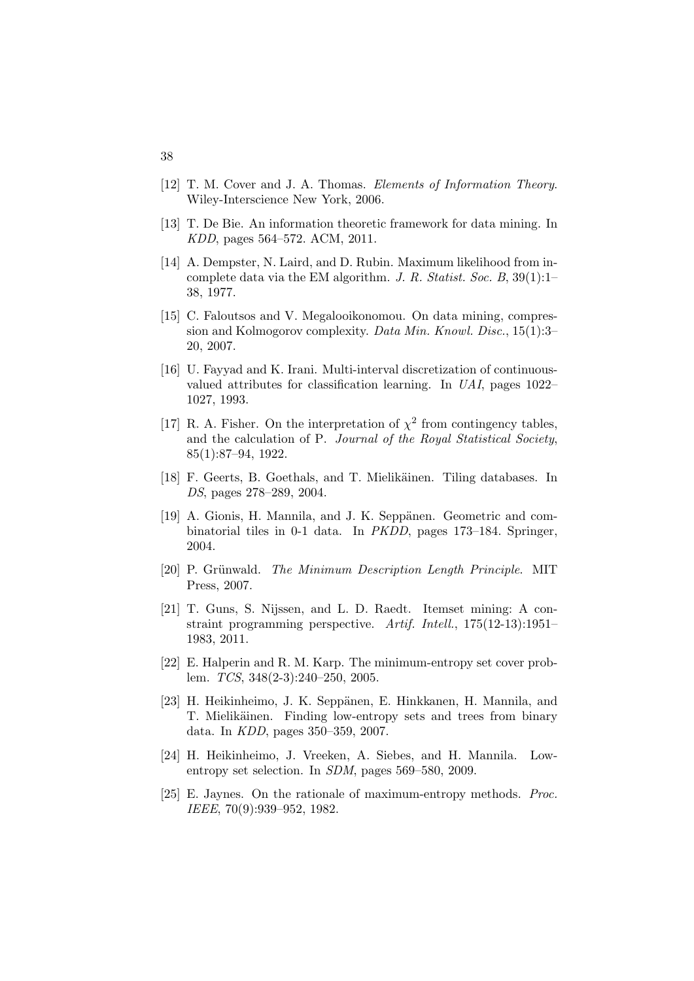- [12] T. M. Cover and J. A. Thomas. *Elements of Information Theory*. Wiley-Interscience New York, 2006.
- [13] T. De Bie. An information theoretic framework for data mining. In KDD, pages 564–572. ACM, 2011.
- [14] A. Dempster, N. Laird, and D. Rubin. Maximum likelihood from incomplete data via the EM algorithm. J. R. Statist. Soc. B, 39(1):1– 38, 1977.
- [15] C. Faloutsos and V. Megalooikonomou. On data mining, compression and Kolmogorov complexity. Data Min. Knowl. Disc., 15(1):3– 20, 2007.
- [16] U. Fayyad and K. Irani. Multi-interval discretization of continuousvalued attributes for classification learning. In UAI, pages 1022– 1027, 1993.
- [17] R. A. Fisher. On the interpretation of  $\chi^2$  from contingency tables, and the calculation of P. Journal of the Royal Statistical Society, 85(1):87–94, 1922.
- [18] F. Geerts, B. Goethals, and T. Mielikäinen. Tiling databases. In DS, pages 278–289, 2004.
- [19] A. Gionis, H. Mannila, and J. K. Seppänen. Geometric and combinatorial tiles in 0-1 data. In PKDD, pages 173–184. Springer, 2004.
- [20] P. Grünwald. The Minimum Description Length Principle. MIT Press, 2007.
- [21] T. Guns, S. Nijssen, and L. D. Raedt. Itemset mining: A constraint programming perspective. Artif. Intell., 175(12-13):1951– 1983, 2011.
- [22] E. Halperin and R. M. Karp. The minimum-entropy set cover problem. TCS, 348(2-3):240–250, 2005.
- [23] H. Heikinheimo, J. K. Seppänen, E. Hinkkanen, H. Mannila, and T. Mielikäinen. Finding low-entropy sets and trees from binary data. In KDD, pages 350–359, 2007.
- [24] H. Heikinheimo, J. Vreeken, A. Siebes, and H. Mannila. Lowentropy set selection. In SDM, pages 569–580, 2009.
- [25] E. Jaynes. On the rationale of maximum-entropy methods. Proc. IEEE, 70(9):939–952, 1982.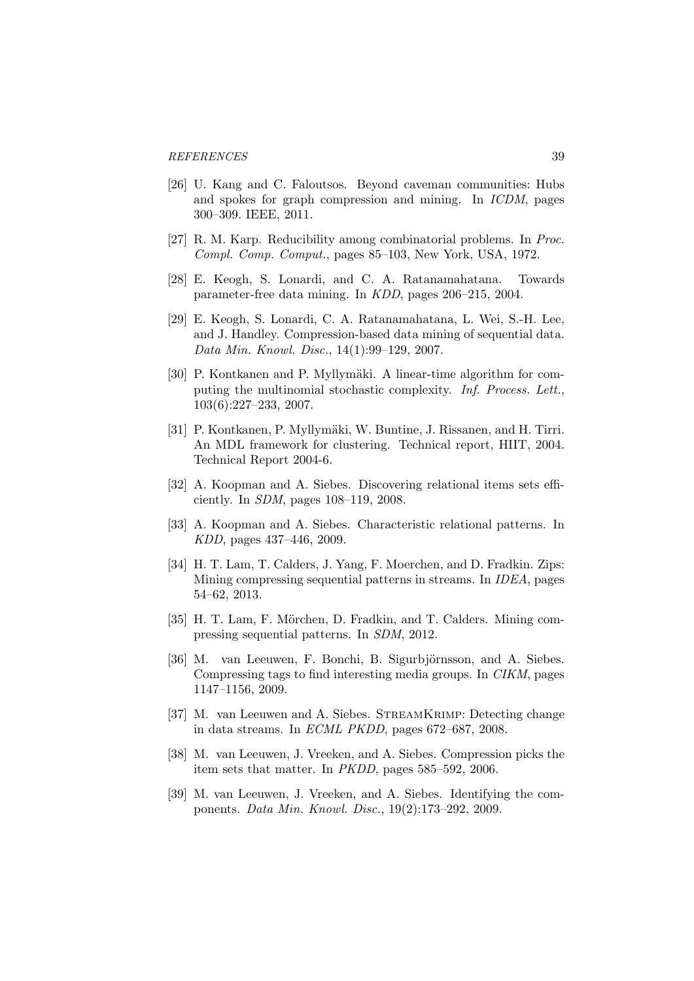- [26] U. Kang and C. Faloutsos. Beyond caveman communities: Hubs and spokes for graph compression and mining. In ICDM, pages 300–309. IEEE, 2011.
- [27] R. M. Karp. Reducibility among combinatorial problems. In Proc. Compl. Comp. Comput., pages 85–103, New York, USA, 1972.
- [28] E. Keogh, S. Lonardi, and C. A. Ratanamahatana. Towards parameter-free data mining. In KDD, pages 206–215, 2004.
- [29] E. Keogh, S. Lonardi, C. A. Ratanamahatana, L. Wei, S.-H. Lee, and J. Handley. Compression-based data mining of sequential data. Data Min. Knowl. Disc., 14(1):99–129, 2007.
- [30] P. Kontkanen and P. Myllymäki. A linear-time algorithm for computing the multinomial stochastic complexity. Inf. Process. Lett., 103(6):227–233, 2007.
- [31] P. Kontkanen, P. Myllymäki, W. Buntine, J. Rissanen, and H. Tirri. An MDL framework for clustering. Technical report, HIIT, 2004. Technical Report 2004-6.
- [32] A. Koopman and A. Siebes. Discovering relational items sets efficiently. In SDM, pages 108–119, 2008.
- [33] A. Koopman and A. Siebes. Characteristic relational patterns. In KDD, pages 437–446, 2009.
- [34] H. T. Lam, T. Calders, J. Yang, F. Moerchen, and D. Fradkin. Zips: Mining compressing sequential patterns in streams. In IDEA, pages 54–62, 2013.
- [35] H. T. Lam, F. Mörchen, D. Fradkin, and T. Calders. Mining compressing sequential patterns. In SDM, 2012.
- [36] M. van Leeuwen, F. Bonchi, B. Sigurbjörnsson, and A. Siebes. Compressing tags to find interesting media groups. In CIKM, pages 1147–1156, 2009.
- [37] M. van Leeuwen and A. Siebes. STREAMKRIMP: Detecting change in data streams. In ECML PKDD, pages 672–687, 2008.
- [38] M. van Leeuwen, J. Vreeken, and A. Siebes. Compression picks the item sets that matter. In PKDD, pages 585–592, 2006.
- [39] M. van Leeuwen, J. Vreeken, and A. Siebes. Identifying the components. Data Min. Knowl. Disc., 19(2):173–292, 2009.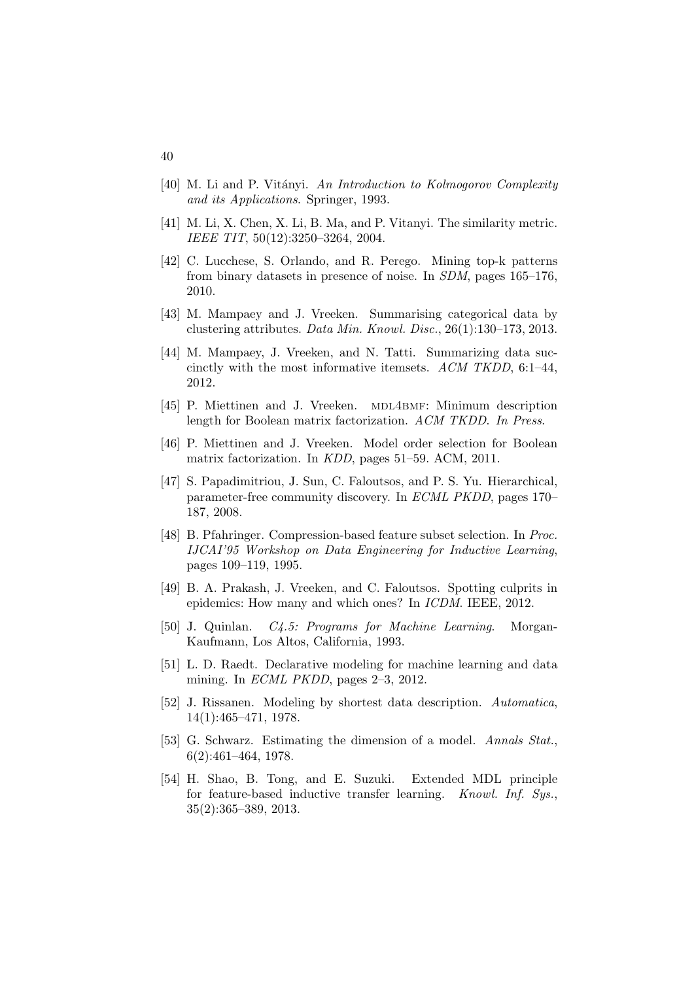- [40] M. Li and P. Vitányi. An Introduction to Kolmogorov Complexity and its Applications. Springer, 1993.
- [41] M. Li, X. Chen, X. Li, B. Ma, and P. Vitanyi. The similarity metric. IEEE TIT, 50(12):3250–3264, 2004.
- [42] C. Lucchese, S. Orlando, and R. Perego. Mining top-k patterns from binary datasets in presence of noise. In SDM, pages 165–176, 2010.
- [43] M. Mampaey and J. Vreeken. Summarising categorical data by clustering attributes. Data Min. Knowl. Disc., 26(1):130–173, 2013.
- [44] M. Mampaey, J. Vreeken, and N. Tatti. Summarizing data succinctly with the most informative itemsets. ACM TKDD, 6:1–44, 2012.
- [45] P. Miettinen and J. Vreeken. MDL4BMF: Minimum description length for Boolean matrix factorization. ACM TKDD. In Press.
- [46] P. Miettinen and J. Vreeken. Model order selection for Boolean matrix factorization. In KDD, pages 51–59. ACM, 2011.
- [47] S. Papadimitriou, J. Sun, C. Faloutsos, and P. S. Yu. Hierarchical, parameter-free community discovery. In ECML PKDD, pages 170– 187, 2008.
- [48] B. Pfahringer. Compression-based feature subset selection. In Proc. IJCAI'95 Workshop on Data Engineering for Inductive Learning, pages 109–119, 1995.
- [49] B. A. Prakash, J. Vreeken, and C. Faloutsos. Spotting culprits in epidemics: How many and which ones? In ICDM. IEEE, 2012.
- [50] J. Quinlan. C4.5: Programs for Machine Learning. Morgan-Kaufmann, Los Altos, California, 1993.
- [51] L. D. Raedt. Declarative modeling for machine learning and data mining. In ECML PKDD, pages 2–3, 2012.
- [52] J. Rissanen. Modeling by shortest data description. Automatica, 14(1):465–471, 1978.
- [53] G. Schwarz. Estimating the dimension of a model. Annals Stat., 6(2):461–464, 1978.
- [54] H. Shao, B. Tong, and E. Suzuki. Extended MDL principle for feature-based inductive transfer learning. Knowl. Inf. Sys., 35(2):365–389, 2013.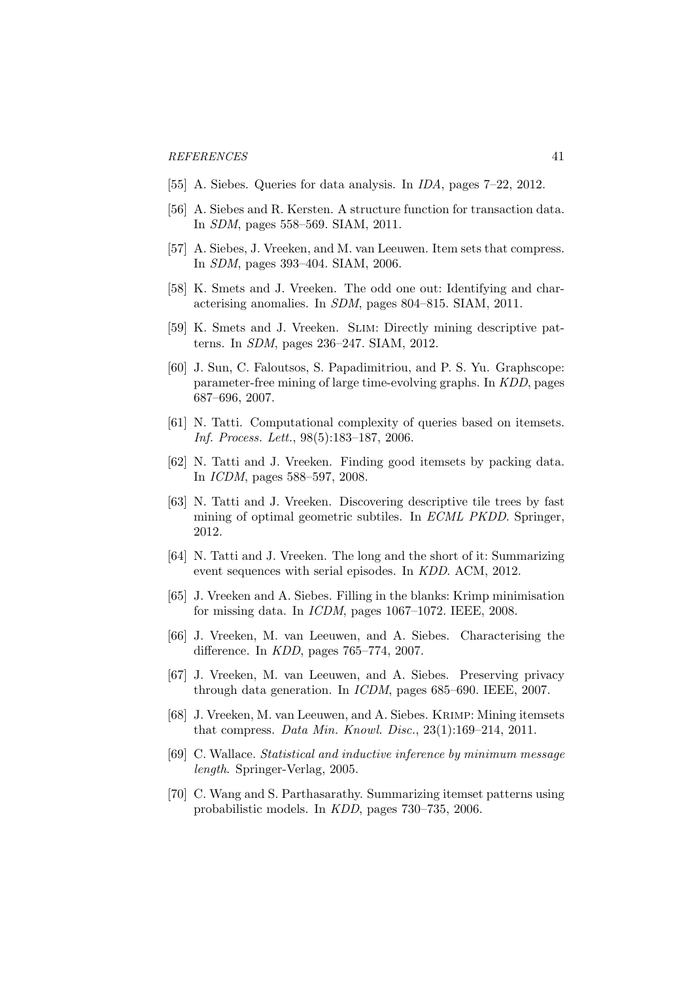- [55] A. Siebes. Queries for data analysis. In IDA, pages 7–22, 2012.
- [56] A. Siebes and R. Kersten. A structure function for transaction data. In SDM, pages 558–569. SIAM, 2011.
- [57] A. Siebes, J. Vreeken, and M. van Leeuwen. Item sets that compress. In SDM, pages 393–404. SIAM, 2006.
- [58] K. Smets and J. Vreeken. The odd one out: Identifying and characterising anomalies. In SDM, pages 804–815. SIAM, 2011.
- [59] K. Smets and J. Vreeken. Slim: Directly mining descriptive patterns. In SDM, pages 236–247. SIAM, 2012.
- [60] J. Sun, C. Faloutsos, S. Papadimitriou, and P. S. Yu. Graphscope: parameter-free mining of large time-evolving graphs. In KDD, pages 687–696, 2007.
- [61] N. Tatti. Computational complexity of queries based on itemsets. Inf. Process. Lett., 98(5):183–187, 2006.
- [62] N. Tatti and J. Vreeken. Finding good itemsets by packing data. In ICDM, pages 588–597, 2008.
- [63] N. Tatti and J. Vreeken. Discovering descriptive tile trees by fast mining of optimal geometric subtiles. In *ECML PKDD*. Springer, 2012.
- [64] N. Tatti and J. Vreeken. The long and the short of it: Summarizing event sequences with serial episodes. In KDD. ACM, 2012.
- [65] J. Vreeken and A. Siebes. Filling in the blanks: Krimp minimisation for missing data. In ICDM, pages 1067–1072. IEEE, 2008.
- [66] J. Vreeken, M. van Leeuwen, and A. Siebes. Characterising the difference. In KDD, pages 765–774, 2007.
- [67] J. Vreeken, M. van Leeuwen, and A. Siebes. Preserving privacy through data generation. In ICDM, pages 685–690. IEEE, 2007.
- [68] J. Vreeken, M. van Leeuwen, and A. Siebes. Krimp: Mining itemsets that compress. Data Min. Knowl. Disc., 23(1):169–214, 2011.
- [69] C. Wallace. Statistical and inductive inference by minimum message length. Springer-Verlag, 2005.
- [70] C. Wang and S. Parthasarathy. Summarizing itemset patterns using probabilistic models. In KDD, pages 730–735, 2006.